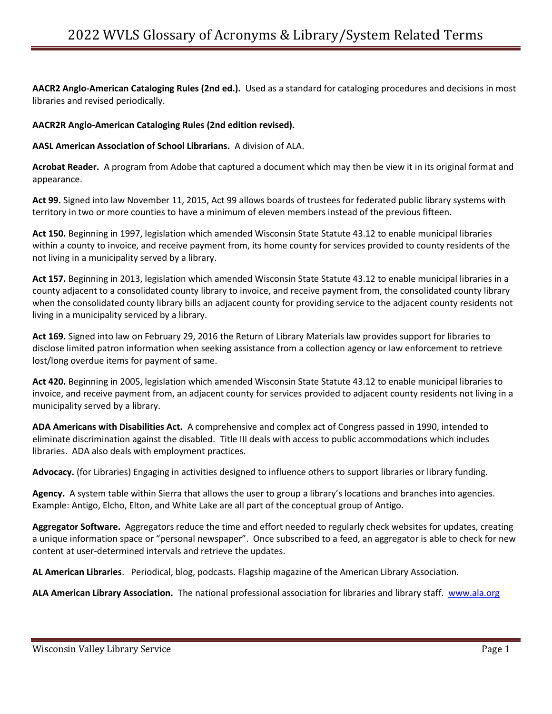**AACR2 Anglo-American Cataloging Rules (2nd ed.).** Used as a standard for cataloging procedures and decisions in most libraries and revised periodically.

## **AACR2R Anglo-American Cataloging Rules (2nd edition revised).**

**AASL American Association of School Librarians.** A division of ALA.

**Acrobat Reader.** A program from Adobe that captured a document which may then be view it in its original format and appearance.

**Act 99.** Signed into law November 11, 2015, Act 99 allows boards of trustees for federated public library systems with territory in two or more counties to have a minimum of eleven members instead of the previous fifteen.

**Act 150.** Beginning in 1997, legislation which amended Wisconsin State Statute 43.12 to enable municipal libraries within a county to invoice, and receive payment from, its home county for services provided to county residents of the not living in a municipality served by a library.

**Act 157.** Beginning in 2013, legislation which amended Wisconsin State Statute 43.12 to enable municipal libraries in a county adjacent to a consolidated county library to invoice, and receive payment from, the consolidated county library when the consolidated county library bills an adjacent county for providing service to the adjacent county residents not living in a municipality serviced by a library.

**Act 169.** Signed into law on February 29, 2016 the Return of Library Materials law provides support for libraries to disclose limited patron information when seeking assistance from a collection agency or law enforcement to retrieve lost/long overdue items for payment of same.

**Act 420.** Beginning in 2005, legislation which amended Wisconsin State Statute 43.12 to enable municipal libraries to invoice, and receive payment from, an adjacent county for services provided to adjacent county residents not living in a municipality served by a library.

**ADA Americans with Disabilities Act.** A comprehensive and complex act of Congress passed in 1990, intended to eliminate discrimination against the disabled. Title III deals with access to public accommodations which includes libraries. ADA also deals with employment practices.

**Advocacy.** (for Libraries) Engaging in activities designed to influence others to support libraries or library funding.

**Agency.** A system table within Sierra that allows the user to group a library's locations and branches into agencies. Example: Antigo, Elcho, Elton, and White Lake are all part of the conceptual group of Antigo.

**Aggregator Software.** Aggregators reduce the time and effort needed to regularly check websites for updates, creating a unique information space or "personal newspaper". Once subscribed to a feed, an aggregator is able to check for new content at user-determined intervals and retrieve the updates.

**AL American Libraries**. Periodical, blog, podcasts. Flagship magazine of the American Library Association.

**ALA American Library Association.** The national professional association for libraries and library staff. [www.ala.org](http://www.ala.org/)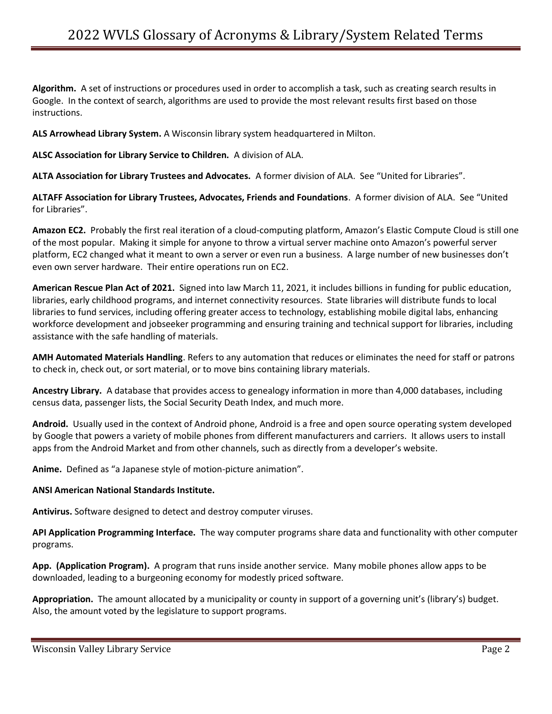**Algorithm.** A set of instructions or procedures used in order to accomplish a task, such as creating search results in Google. In the context of search, algorithms are used to provide the most relevant results first based on those instructions.

**ALS Arrowhead Library System.** A Wisconsin library system headquartered in Milton.

**ALSC Association for Library Service to Children.** A division of ALA.

**ALTA Association for Library Trustees and Advocates.** A former division of ALA. See "United for Libraries".

**ALTAFF Association for Library Trustees, Advocates, Friends and Foundations**. A former division of ALA. See "United for Libraries".

**Amazon EC2.** Probably the first real iteration of a cloud-computing platform, Amazon's Elastic Compute Cloud is still one of the most popular. Making it simple for anyone to throw a virtual server machine onto Amazon's powerful server platform, EC2 changed what it meant to own a server or even run a business. A large number of new businesses don't even own server hardware. Their entire operations run on EC2.

**American Rescue Plan Act of 2021.** Signed into law March 11, 2021, it includes billions in funding for public education, libraries, early childhood programs, and internet connectivity resources. State libraries will distribute funds to local libraries to fund services, including offering greater access to technology, establishing mobile digital labs, enhancing workforce development and jobseeker programming and ensuring training and technical support for libraries, including assistance with the safe handling of materials.

**AMH Automated Materials Handling**. Refers to any automation that reduces or eliminates the need for staff or patrons to check in, check out, or sort material, or to move bins containing library materials.

**Ancestry Library.** A database that provides access to genealogy information in more than 4,000 databases, including census data, passenger lists, the Social Security Death Index, and much more.

**Android.** Usually used in the context of Android phone, Android is a free and open source operating system developed by Google that powers a variety of mobile phones from different manufacturers and carriers. It allows users to install apps from the Android Market and from other channels, such as directly from a developer's website.

**Anime.** Defined as "a Japanese style of motion-picture animation".

#### **ANSI American National Standards Institute.**

**Antivirus.** Software designed to detect and destroy computer viruses.

**API Application Programming Interface.** The way computer programs share data and functionality with other computer programs.

**App. (Application Program).** A program that runs inside another service. Many mobile phones allow apps to be downloaded, leading to a burgeoning economy for modestly priced software.

**Appropriation.** The amount allocated by a municipality or county in support of a governing unit's (library's) budget. Also, the amount voted by the legislature to support programs.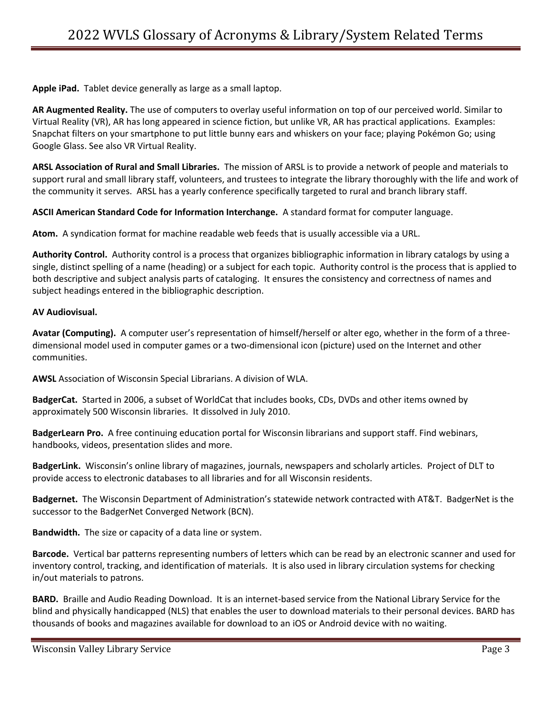**Apple iPad.** Tablet device generally as large as a small laptop.

**AR Augmented Reality.** The use of computers to overlay useful information on top of our perceived world. Similar to Virtual Reality (VR), AR has long appeared in science fiction, but unlike VR, AR has practical applications. Examples: Snapchat filters on your smartphone to put little bunny ears and whiskers on your face; playing Pokémon Go; using Google Glass. See also VR Virtual Reality.

**ARSL Association of Rural and Small Libraries.** The mission of ARSL is to provide a network of people and materials to support rural and small library staff, volunteers, and trustees to integrate the library thoroughly with the life and work of the community it serves. ARSL has a yearly conference specifically targeted to rural and branch library staff.

**ASCII American Standard Code for Information Interchange.** A standard format for computer language.

**Atom.** A syndication format for machine readable web feeds that is usually accessible via a URL.

**Authority Control.** Authority control is a process that organizes bibliographic information in library catalogs by using a single, distinct spelling of a name (heading) or a subject for each topic. Authority control is the process that is applied to both descriptive and subject analysis parts of cataloging. It ensures the consistency and correctness of names and subject headings entered in the bibliographic description.

## **AV Audiovisual.**

Avatar (Computing). A computer user's representation of himself/herself or alter ego, whether in the form of a threedimensional model used in computer games or a two-dimensional icon (picture) used on the Internet and other communities.

**AWSL** Association of Wisconsin Special Librarians. A division of WLA.

**BadgerCat.** Started in 2006, a subset of WorldCat that includes books, CDs, DVDs and other items owned by approximately 500 Wisconsin libraries. It dissolved in July 2010.

**BadgerLearn Pro.** A free continuing education portal for Wisconsin librarians and support staff. Find webinars, handbooks, videos, presentation slides and more.

**BadgerLink.** Wisconsin's online library of magazines, journals, newspapers and scholarly articles. Project of DLT to provide access to electronic databases to all libraries and for all Wisconsin residents.

**Badgernet.** The Wisconsin Department of Administration's statewide network contracted with AT&T. BadgerNet is the successor to the BadgerNet Converged Network (BCN).

**Bandwidth.** The size or capacity of a data line or system.

**Barcode.** Vertical bar patterns representing numbers of letters which can be read by an electronic scanner and used for inventory control, tracking, and identification of materials. It is also used in library circulation systems for checking in/out materials to patrons.

**BARD.** Braille and Audio Reading Download. It is an internet-based service from the National Library Service for the blind and physically handicapped (NLS) that enables the user to download materials to their personal devices. BARD has thousands of books and magazines available for download to an iOS or Android device with no waiting.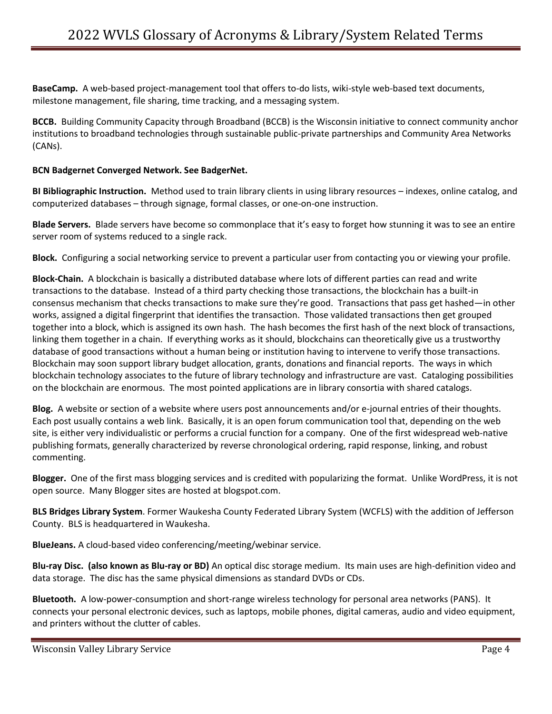**BaseCamp.** A web-based project-management tool that offers to-do lists, wiki-style web-based text documents, milestone management, file sharing, time tracking, and a messaging system.

**BCCB.** Building Community Capacity through Broadband (BCCB) is the Wisconsin initiative to connect community anchor institutions to broadband technologies through sustainable public-private partnerships and Community Area Networks (CANs).

## **BCN Badgernet Converged Network. See BadgerNet.**

**BI Bibliographic Instruction.** Method used to train library clients in using library resources – indexes, online catalog, and computerized databases – through signage, formal classes, or one-on-one instruction.

**Blade Servers.** Blade servers have become so commonplace that it's easy to forget how stunning it was to see an entire server room of systems reduced to a single rack.

**Block.** Configuring a social networking service to prevent a particular user from contacting you or viewing your profile.

**Block-Chain.** A blockchain is basically a distributed database where lots of different parties can read and write transactions to the database. Instead of a third party checking those transactions, the blockchain has a built-in consensus mechanism that checks transactions to make sure they're good. Transactions that pass get hashed—in other works, assigned a digital fingerprint that identifies the transaction. Those validated transactions then get grouped together into a block, which is assigned its own hash. The hash becomes the first hash of the next block of transactions, linking them together in a chain. If everything works as it should, blockchains can theoretically give us a trustworthy database of good transactions without a human being or institution having to intervene to verify those transactions. Blockchain may soon support library budget allocation, grants, donations and financial reports. The ways in which blockchain technology associates to the future of library technology and infrastructure are vast. Cataloging possibilities on the blockchain are enormous. The most pointed applications are in library consortia with shared catalogs.

**Blog.** A website or section of a website where users post announcements and/or e-journal entries of their thoughts. Each post usually contains a web link. Basically, it is an open forum communication tool that, depending on the web site, is either very individualistic or performs a crucial function for a company. One of the first widespread web-native publishing formats, generally characterized by reverse chronological ordering, rapid response, linking, and robust commenting.

**Blogger.** One of the first mass blogging services and is credited with popularizing the format. Unlike WordPress, it is not open source. Many Blogger sites are hosted at blogspot.com.

**BLS Bridges Library System**. Former Waukesha County Federated Library System (WCFLS) with the addition of Jefferson County. BLS is headquartered in Waukesha.

**BlueJeans.** A cloud-based video conferencing/meeting/webinar service.

**Blu-ray Disc. (also known as Blu-ray or BD)** An optical disc storage medium. Its main uses are high-definition video and data storage. The disc has the same physical dimensions as standard DVDs or CDs.

**Bluetooth.** A low-power-consumption and short-range wireless technology for personal area networks (PANS). It connects your personal electronic devices, such as laptops, mobile phones, digital cameras, audio and video equipment, and printers without the clutter of cables.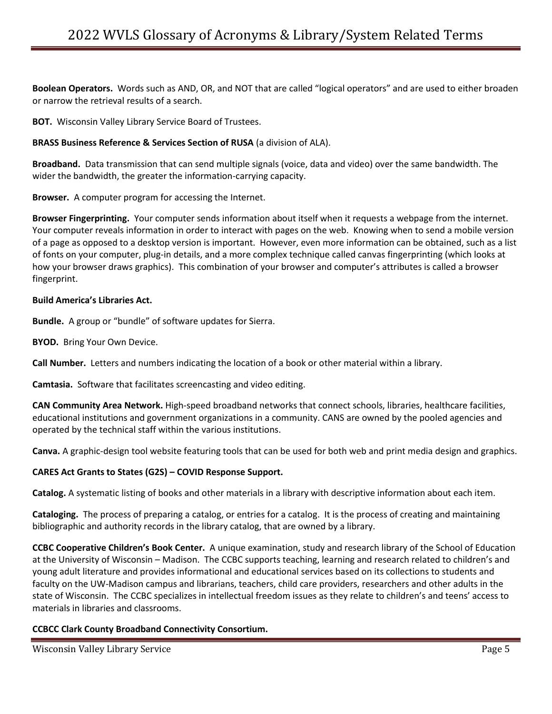**Boolean Operators.** Words such as AND, OR, and NOT that are called "logical operators" and are used to either broaden or narrow the retrieval results of a search.

**BOT.** Wisconsin Valley Library Service Board of Trustees.

## **BRASS Business Reference & Services Section of RUSA** (a division of ALA).

**Broadband.** Data transmission that can send multiple signals (voice, data and video) over the same bandwidth. The wider the bandwidth, the greater the information-carrying capacity.

**Browser.** A computer program for accessing the Internet.

**Browser Fingerprinting.** Your computer sends information about itself when it requests a webpage from the internet. Your computer reveals information in order to interact with pages on the web. Knowing when to send a mobile version of a page as opposed to a desktop version is important. However, even more information can be obtained, such as a list of fonts on your computer, plug-in details, and a more complex technique called canvas fingerprinting (which looks at how your browser draws graphics). This combination of your browser and computer's attributes is called a browser fingerprint.

#### **Build America's Libraries Act.**

**Bundle.** A group or "bundle" of software updates for Sierra.

**BYOD.** Bring Your Own Device.

**Call Number.** Letters and numbers indicating the location of a book or other material within a library.

**Camtasia.** Software that facilitates screencasting and video editing.

**CAN Community Area Network.** High-speed broadband networks that connect schools, libraries, healthcare facilities, educational institutions and government organizations in a community. CANS are owned by the pooled agencies and operated by the technical staff within the various institutions.

**Canva.** A graphic-design tool website featuring tools that can be used for both web and print media design and graphics.

# **CARES Act Grants to States (G2S) – COVID Response Support.**

**Catalog.** A systematic listing of books and other materials in a library with descriptive information about each item.

**Cataloging.** The process of preparing a catalog, or entries for a catalog. It is the process of creating and maintaining bibliographic and authority records in the library catalog, that are owned by a library.

**CCBC Cooperative Children's Book Center.** A unique examination, study and research library of the School of Education at the University of Wisconsin – Madison. The CCBC supports teaching, learning and research related to children's and young adult literature and provides informational and educational services based on its collections to students and faculty on the UW-Madison campus and librarians, teachers, child care providers, researchers and other adults in the state of Wisconsin. The CCBC specializes in intellectual freedom issues as they relate to children's and teens' access to materials in libraries and classrooms.

# **CCBCC Clark County Broadband Connectivity Consortium.**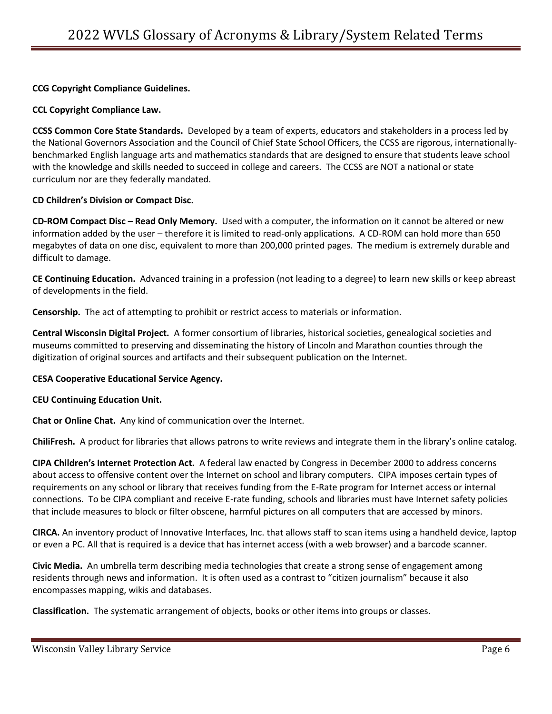**CCG Copyright Compliance Guidelines.** 

**CCL Copyright Compliance Law.** 

**CCSS Common Core State Standards.** Developed by a team of experts, educators and stakeholders in a process led by the National Governors Association and the Council of Chief State School Officers, the CCSS are rigorous, internationallybenchmarked English language arts and mathematics standards that are designed to ensure that students leave school with the knowledge and skills needed to succeed in college and careers. The CCSS are NOT a national or state curriculum nor are they federally mandated.

# **CD Children's Division or Compact Disc.**

**CD-ROM Compact Disc – Read Only Memory.** Used with a computer, the information on it cannot be altered or new information added by the user – therefore it is limited to read-only applications. A CD-ROM can hold more than 650 megabytes of data on one disc, equivalent to more than 200,000 printed pages. The medium is extremely durable and difficult to damage.

**CE Continuing Education.** Advanced training in a profession (not leading to a degree) to learn new skills or keep abreast of developments in the field.

**Censorship.** The act of attempting to prohibit or restrict access to materials or information.

**Central Wisconsin Digital Project.** A former consortium of libraries, historical societies, genealogical societies and museums committed to preserving and disseminating the history of Lincoln and Marathon counties through the digitization of original sources and artifacts and their subsequent publication on the Internet.

#### **CESA Cooperative Educational Service Agency.**

#### **CEU Continuing Education Unit.**

**Chat or Online Chat.** Any kind of communication over the Internet.

**ChiliFresh.** A product for libraries that allows patrons to write reviews and integrate them in the library's online catalog.

**CIPA Children's Internet Protection Act.** A federal law enacted by Congress in December 2000 to address concerns about access to offensive content over the Internet on school and library computers. CIPA imposes certain types of requirements on any school or library that receives funding from the E-Rate program for Internet access or internal connections. To be CIPA compliant and receive E-rate funding, schools and libraries must have Internet safety policies that include measures to block or filter obscene, harmful pictures on all computers that are accessed by minors.

**CIRCA.** An inventory product of Innovative Interfaces, Inc. that allows staff to scan items using a handheld device, laptop or even a PC. All that is required is a device that has internet access (with a web browser) and a barcode scanner.

**Civic Media.** An umbrella term describing media technologies that create a strong sense of engagement among residents through news and information. It is often used as a contrast to "citizen journalism" because it also encompasses mapping, wikis and databases.

**Classification.** The systematic arrangement of objects, books or other items into groups or classes.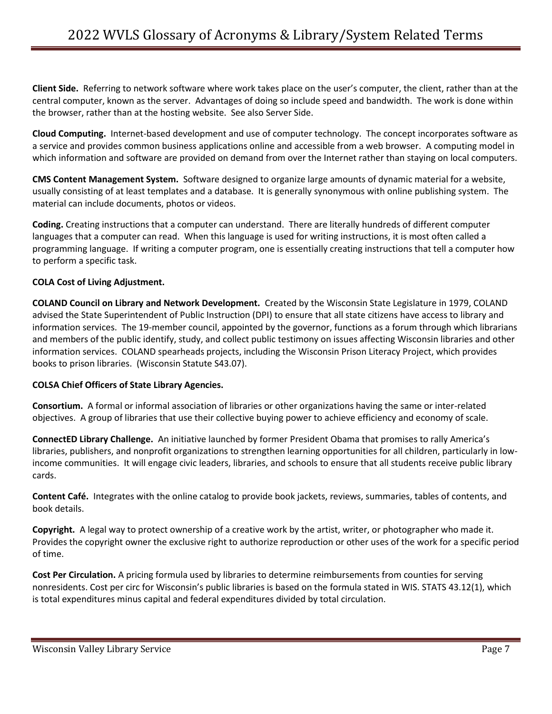**Client Side.** Referring to network software where work takes place on the user's computer, the client, rather than at the central computer, known as the server. Advantages of doing so include speed and bandwidth. The work is done within the browser, rather than at the hosting website. See also Server Side.

**Cloud Computing.** Internet-based development and use of computer technology. The concept incorporates software as a service and provides common business applications online and accessible from a web browser. A computing model in which information and software are provided on demand from over the Internet rather than staying on local computers.

**CMS Content Management System.** Software designed to organize large amounts of dynamic material for a website, usually consisting of at least templates and a database. It is generally synonymous with online publishing system. The material can include documents, photos or videos.

**Coding.** Creating instructions that a computer can understand. There are literally hundreds of different computer languages that a computer can read. When this language is used for writing instructions, it is most often called a programming language. If writing a computer program, one is essentially creating instructions that tell a computer how to perform a specific task.

# **COLA Cost of Living Adjustment.**

**COLAND Council on Library and Network Development.** Created by the Wisconsin State Legislature in 1979, COLAND advised the State Superintendent of Public Instruction (DPI) to ensure that all state citizens have access to library and information services. The 19-member council, appointed by the governor, functions as a forum through which librarians and members of the public identify, study, and collect public testimony on issues affecting Wisconsin libraries and other information services. COLAND spearheads projects, including the Wisconsin Prison Literacy Project, which provides books to prison libraries. (Wisconsin Statute S43.07).

# **COLSA Chief Officers of State Library Agencies.**

**Consortium.** A formal or informal association of libraries or other organizations having the same or inter-related objectives. A group of libraries that use their collective buying power to achieve efficiency and economy of scale.

**ConnectED Library Challenge.** An initiative launched by former President Obama that promises to rally America's libraries, publishers, and nonprofit organizations to strengthen learning opportunities for all children, particularly in lowincome communities. It will engage civic leaders, libraries, and schools to ensure that all students receive public library cards.

**Content Café.** Integrates with the online catalog to provide book jackets, reviews, summaries, tables of contents, and book details.

**Copyright.** A legal way to protect ownership of a creative work by the artist, writer, or photographer who made it. Provides the copyright owner the exclusive right to authorize reproduction or other uses of the work for a specific period of time.

**Cost Per Circulation.** A pricing formula used by libraries to determine reimbursements from counties for serving nonresidents. Cost per circ for Wisconsin's public libraries is based on the formula stated in WIS. STATS 43.12(1), which is total expenditures minus capital and federal expenditures divided by total circulation.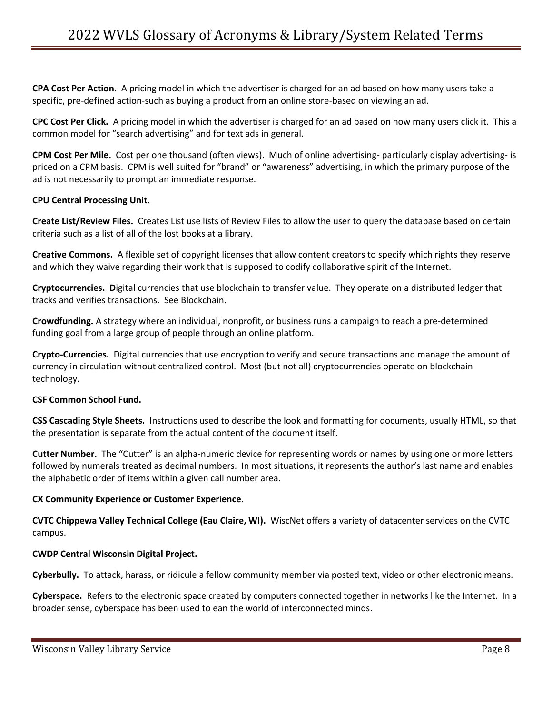**CPA Cost Per Action.** A pricing model in which the advertiser is charged for an ad based on how many users take a specific, pre-defined action-such as buying a product from an online store-based on viewing an ad.

**CPC Cost Per Click.** A pricing model in which the advertiser is charged for an ad based on how many users click it. This a common model for "search advertising" and for text ads in general.

**CPM Cost Per Mile.** Cost per one thousand (often views). Much of online advertising- particularly display advertising- is priced on a CPM basis. CPM is well suited for "brand" or "awareness" advertising, in which the primary purpose of the ad is not necessarily to prompt an immediate response.

#### **CPU Central Processing Unit.**

**Create List/Review Files.** Creates List use lists of Review Files to allow the user to query the database based on certain criteria such as a list of all of the lost books at a library.

**Creative Commons.** A flexible set of copyright licenses that allow content creators to specify which rights they reserve and which they waive regarding their work that is supposed to codify collaborative spirit of the Internet.

**Cryptocurrencies. D**igital currencies that use blockchain to transfer value. They operate on a distributed ledger that tracks and verifies transactions. See Blockchain.

**Crowdfunding.** A strategy where an individual, nonprofit, or business runs a campaign to reach a pre-determined funding goal from a large group of people through an online platform.

**Crypto-Currencies.** Digital currencies that use encryption to verify and secure transactions and manage the amount of currency in circulation without centralized control. Most (but not all) cryptocurrencies operate on blockchain technology.

# **CSF Common School Fund.**

**CSS Cascading Style Sheets.** Instructions used to describe the look and formatting for documents, usually HTML, so that the presentation is separate from the actual content of the document itself.

**Cutter Number.** The "Cutter" is an alpha-numeric device for representing words or names by using one or more letters followed by numerals treated as decimal numbers. In most situations, it represents the author's last name and enables the alphabetic order of items within a given call number area.

#### **CX Community Experience or Customer Experience.**

**CVTC Chippewa Valley Technical College (Eau Claire, WI).** WiscNet offers a variety of datacenter services on the CVTC campus.

# **CWDP Central Wisconsin Digital Project.**

**Cyberbully.** To attack, harass, or ridicule a fellow community member via posted text, video or other electronic means.

**Cyberspace.** Refers to the electronic space created by computers connected together in networks like the Internet. In a broader sense, cyberspace has been used to ean the world of interconnected minds.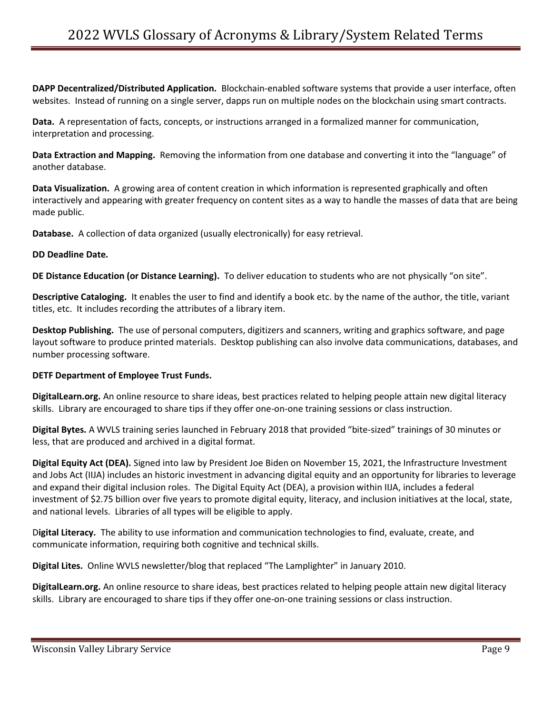**DAPP Decentralized/Distributed Application.** Blockchain-enabled software systems that provide a user interface, often websites. Instead of running on a single server, dapps run on multiple nodes on the blockchain using smart contracts.

**Data.** A representation of facts, concepts, or instructions arranged in a formalized manner for communication, interpretation and processing.

**Data Extraction and Mapping.** Removing the information from one database and converting it into the "language" of another database.

**Data Visualization.** A growing area of content creation in which information is represented graphically and often interactively and appearing with greater frequency on content sites as a way to handle the masses of data that are being made public.

**Database.** A collection of data organized (usually electronically) for easy retrieval.

#### **DD Deadline Date.**

**DE Distance Education (or Distance Learning).** To deliver education to students who are not physically "on site".

**Descriptive Cataloging.** It enables the user to find and identify a book etc. by the name of the author, the title, variant titles, etc. It includes recording the attributes of a library item.

**Desktop Publishing.** The use of personal computers, digitizers and scanners, writing and graphics software, and page layout software to produce printed materials. Desktop publishing can also involve data communications, databases, and number processing software.

#### **DETF Department of Employee Trust Funds.**

**DigitalLearn.org.** An online resource to share ideas, best practices related to helping people attain new digital literacy skills. Library are encouraged to share tips if they offer one-on-one training sessions or class instruction.

**Digital Bytes.** A WVLS training series launched in February 2018 that provided "bite-sized" trainings of 30 minutes or less, that are produced and archived in a digital format.

**Digital Equity Act (DEA).** Signed into law by President Joe Biden on November 15, 2021, the Infrastructure Investment and Jobs Act (IIJA) includes an historic investment in advancing digital equity and an opportunity for libraries to leverage and expand their digital inclusion roles. The Digital Equity Act (DEA), a provision within IIJA, includes a federal investment of \$2.75 billion over five years to promote digital equity, literacy, and inclusion initiatives at the local, state, and national levels. Libraries of all types will be eligible to apply.

D**igital Literacy.** The ability to use information and communication technologies to find, evaluate, create, and communicate information, requiring both cognitive and technical skills.

**Digital Lites.** Online WVLS newsletter/blog that replaced "The Lamplighter" in January 2010.

**DigitalLearn.org.** An online resource to share ideas, best practices related to helping people attain new digital literacy skills. Library are encouraged to share tips if they offer one-on-one training sessions or class instruction.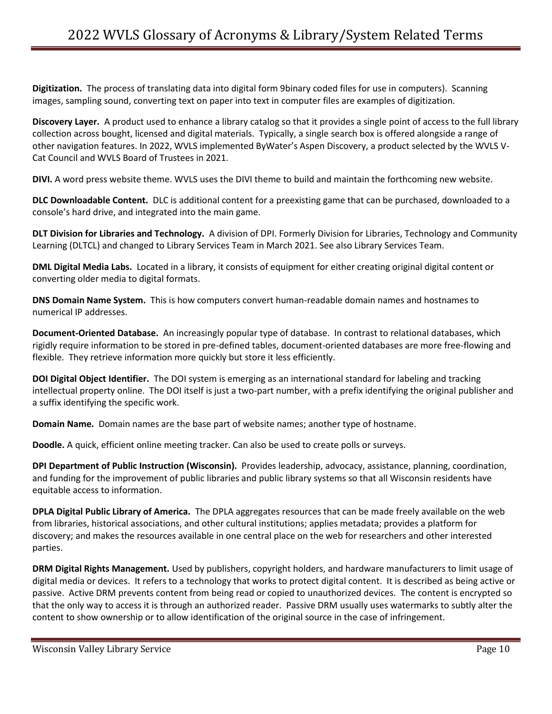**Digitization.** The process of translating data into digital form 9binary coded files for use in computers). Scanning images, sampling sound, converting text on paper into text in computer files are examples of digitization.

**Discovery Layer.** A product used to enhance a library catalog so that it provides a single point of access to the full library collection across bought, licensed and digital materials. Typically, a single search box is offered alongside a range of other navigation features. In 2022, WVLS implemented ByWater's Aspen Discovery, a product selected by the WVLS V-Cat Council and WVLS Board of Trustees in 2021.

**DIVI.** A word press website theme. WVLS uses the DIVI theme to build and maintain the forthcoming new website.

**DLC Downloadable Content.** DLC is additional content for a preexisting game that can be purchased, downloaded to a console's hard drive, and integrated into the main game.

**DLT Division for Libraries and Technology.** A division of DPI. Formerly Division for Libraries, Technology and Community Learning (DLTCL) and changed to Library Services Team in March 2021. See also Library Services Team.

**DML Digital Media Labs.** Located in a library, it consists of equipment for either creating original digital content or converting older media to digital formats.

**DNS Domain Name System.** This is how computers convert human-readable domain names and hostnames to numerical IP addresses.

**Document-Oriented Database.** An increasingly popular type of database. In contrast to relational databases, which rigidly require information to be stored in pre-defined tables, document-oriented databases are more free-flowing and flexible. They retrieve information more quickly but store it less efficiently.

**DOI Digital Object Identifier.** The DOI system is emerging as an international standard for labeling and tracking intellectual property online. The DOI itself is just a two-part number, with a prefix identifying the original publisher and a suffix identifying the specific work.

**Domain Name.** Domain names are the base part of website names; another type of hostname.

**Doodle.** A quick, efficient online meeting tracker. Can also be used to create polls or surveys.

**DPI Department of Public Instruction (Wisconsin).** Provides leadership, advocacy, assistance, planning, coordination, and funding for the improvement of public libraries and public library systems so that all Wisconsin residents have equitable access to information.

**DPLA Digital Public Library of America.** The DPLA aggregates resources that can be made freely available on the web from libraries, historical associations, and other cultural institutions; applies metadata; provides a platform for discovery; and makes the resources available in one central place on the web for researchers and other interested parties.

**DRM Digital Rights Management.** Used by publishers, copyright holders, and hardware manufacturers to limit usage of digital media or devices. It refers to a technology that works to protect digital content. It is described as being active or passive. Active DRM prevents content from being read or copied to unauthorized devices. The content is encrypted so that the only way to access it is through an authorized reader. Passive DRM usually uses watermarks to subtly alter the content to show ownership or to allow identification of the original source in the case of infringement.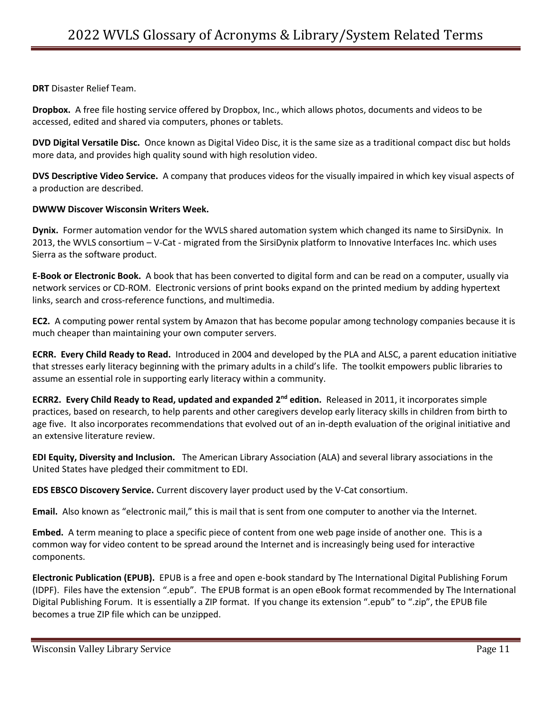**DRT** Disaster Relief Team.

**Dropbox.** A free file hosting service offered by Dropbox, Inc., which allows photos, documents and videos to be accessed, edited and shared via computers, phones or tablets.

**DVD Digital Versatile Disc.** Once known as Digital Video Disc, it is the same size as a traditional compact disc but holds more data, and provides high quality sound with high resolution video.

**DVS Descriptive Video Service.** A company that produces videos for the visually impaired in which key visual aspects of a production are described.

## **DWWW Discover Wisconsin Writers Week.**

**Dynix.** Former automation vendor for the WVLS shared automation system which changed its name to SirsiDynix. In 2013, the WVLS consortium – V-Cat - migrated from the SirsiDynix platform to Innovative Interfaces Inc. which uses Sierra as the software product.

**E-Book or Electronic Book.** A book that has been converted to digital form and can be read on a computer, usually via network services or CD-ROM. Electronic versions of print books expand on the printed medium by adding hypertext links, search and cross-reference functions, and multimedia.

**EC2.** A computing power rental system by Amazon that has become popular among technology companies because it is much cheaper than maintaining your own computer servers.

**ECRR. Every Child Ready to Read.** Introduced in 2004 and developed by the PLA and ALSC, a parent education initiative that stresses early literacy beginning with the primary adults in a child's life. The toolkit empowers public libraries to assume an essential role in supporting early literacy within a community.

**ECRR2. Every Child Ready to Read, updated and expanded 2<sup>nd</sup> edition. Released in 2011, it incorporates simple** practices, based on research, to help parents and other caregivers develop early literacy skills in children from birth to age five. It also incorporates recommendations that evolved out of an in-depth evaluation of the original initiative and an extensive literature review.

**EDI Equity, Diversity and Inclusion.** The American Library Association (ALA) and several library associations in the United States have pledged their commitment to EDI.

**EDS EBSCO Discovery Service.** Current discovery layer product used by the V-Cat consortium.

**Email.** Also known as "electronic mail," this is mail that is sent from one computer to another via the Internet.

**Embed.** A term meaning to place a specific piece of content from one web page inside of another one. This is a common way for video content to be spread around the Internet and is increasingly being used for interactive components.

**Electronic Publication (EPUB).** EPUB is a free and open e-book standard by The International Digital Publishing Forum (IDPF). Files have the extension ".epub". The EPUB format is an open eBook format recommended by The International Digital Publishing Forum. It is essentially a ZIP format. If you change its extension ".epub" to ".zip", the EPUB file becomes a true ZIP file which can be unzipped.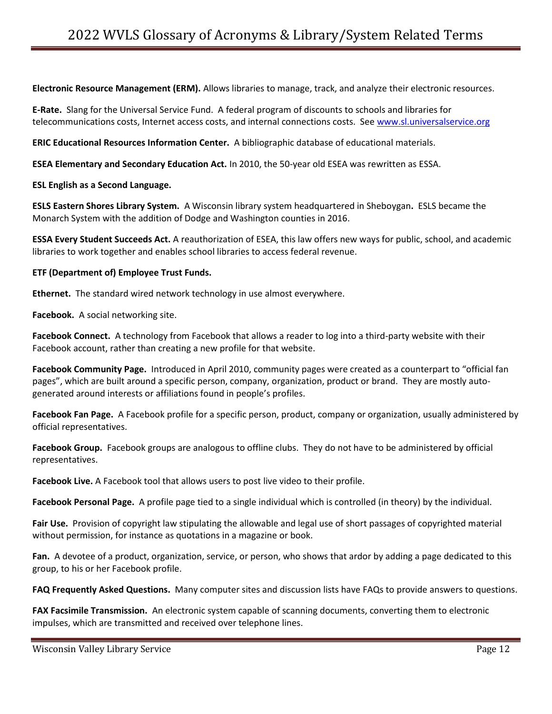**Electronic Resource Management (ERM).** Allows libraries to manage, track, and analyze their electronic resources.

**E-Rate.** Slang for the Universal Service Fund. A federal program of discounts to schools and libraries for telecommunications costs, Internet access costs, and internal connections costs. See [www.sl.universalservice.org](http://www.sl.universalservice.org/)

**ERIC Educational Resources Information Center.** A bibliographic database of educational materials.

**ESEA Elementary and Secondary Education Act.** In 2010, the 50-year old ESEA was rewritten as ESSA.

#### **ESL English as a Second Language.**

**ESLS Eastern Shores Library System.** A Wisconsin library system headquartered in Sheboygan**.** ESLS became the Monarch System with the addition of Dodge and Washington counties in 2016.

**ESSA Every Student Succeeds Act.** A reauthorization of ESEA, this law offers new ways for public, school, and academic libraries to work together and enables school libraries to access federal revenue.

#### **ETF (Department of) Employee Trust Funds.**

**Ethernet.** The standard wired network technology in use almost everywhere.

**Facebook.** A social networking site.

**Facebook Connect.** A technology from Facebook that allows a reader to log into a third-party website with their Facebook account, rather than creating a new profile for that website.

**Facebook Community Page.** Introduced in April 2010, community pages were created as a counterpart to "official fan pages", which are built around a specific person, company, organization, product or brand. They are mostly autogenerated around interests or affiliations found in people's profiles.

**Facebook Fan Page.** A Facebook profile for a specific person, product, company or organization, usually administered by official representatives.

**Facebook Group.** Facebook groups are analogous to offline clubs. They do not have to be administered by official representatives.

**Facebook Live.** A Facebook tool that allows users to post live video to their profile.

**Facebook Personal Page.** A profile page tied to a single individual which is controlled (in theory) by the individual.

**Fair Use.** Provision of copyright law stipulating the allowable and legal use of short passages of copyrighted material without permission, for instance as quotations in a magazine or book.

**Fan.** A devotee of a product, organization, service, or person, who shows that ardor by adding a page dedicated to this group, to his or her Facebook profile.

**FAQ Frequently Asked Questions.** Many computer sites and discussion lists have FAQs to provide answers to questions.

**FAX Facsimile Transmission.** An electronic system capable of scanning documents, converting them to electronic impulses, which are transmitted and received over telephone lines.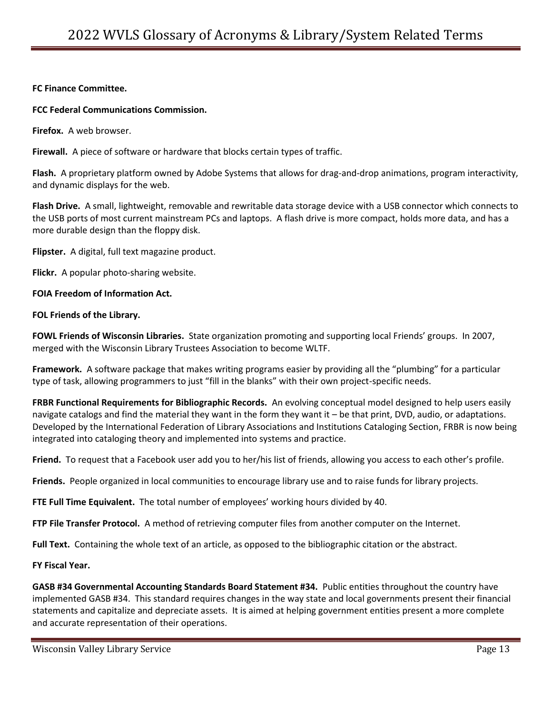### **FC Finance Committee.**

#### **FCC Federal Communications Commission.**

**Firefox.** A web browser.

**Firewall.** A piece of software or hardware that blocks certain types of traffic.

**Flash.** A proprietary platform owned by Adobe Systems that allows for drag-and-drop animations, program interactivity, and dynamic displays for the web.

**Flash Drive.** A small, lightweight, removable and rewritable data storage device with a USB connector which connects to the USB ports of most current mainstream PCs and laptops. A flash drive is more compact, holds more data, and has a more durable design than the floppy disk.

**Flipster.** A digital, full text magazine product.

**Flickr.** A popular photo-sharing website.

#### **FOIA Freedom of Information Act.**

#### **FOL Friends of the Library.**

**FOWL Friends of Wisconsin Libraries.** State organization promoting and supporting local Friends' groups. In 2007, merged with the Wisconsin Library Trustees Association to become WLTF.

**Framework.** A software package that makes writing programs easier by providing all the "plumbing" for a particular type of task, allowing programmers to just "fill in the blanks" with their own project-specific needs.

**FRBR Functional Requirements for Bibliographic Records.** An evolving conceptual model designed to help users easily navigate catalogs and find the material they want in the form they want it – be that print, DVD, audio, or adaptations. Developed by the International Federation of Library Associations and Institutions Cataloging Section, FRBR is now being integrated into cataloging theory and implemented into systems and practice.

**Friend.** To request that a Facebook user add you to her/his list of friends, allowing you access to each other's profile.

**Friends.** People organized in local communities to encourage library use and to raise funds for library projects.

**FTE Full Time Equivalent.** The total number of employees' working hours divided by 40.

**FTP File Transfer Protocol.** A method of retrieving computer files from another computer on the Internet.

**Full Text.** Containing the whole text of an article, as opposed to the bibliographic citation or the abstract.

#### **FY Fiscal Year.**

**GASB #34 Governmental Accounting Standards Board Statement #34.** Public entities throughout the country have implemented GASB #34. This standard requires changes in the way state and local governments present their financial statements and capitalize and depreciate assets. It is aimed at helping government entities present a more complete and accurate representation of their operations.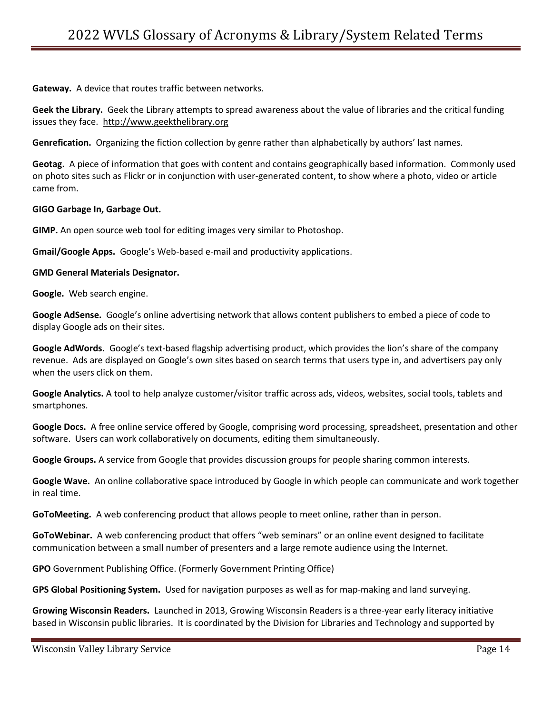**Gateway.** A device that routes traffic between networks.

**Geek the Library.** Geek the Library attempts to spread awareness about the value of libraries and the critical funding issues they face. [http://www.geekthelibrary.org](http://www.geekthelibrary.org/)

**Genrefication.** Organizing the fiction collection by genre rather than alphabetically by authors' last names.

**Geotag.** A piece of information that goes with content and contains geographically based information. Commonly used on photo sites such as Flickr or in conjunction with user-generated content, to show where a photo, video or article came from.

#### **GIGO Garbage In, Garbage Out.**

**GIMP.** An open source web tool for editing images very similar to Photoshop.

**Gmail/Google Apps.** Google's Web-based e-mail and productivity applications.

#### **GMD General Materials Designator.**

**Google.** Web search engine.

**Google AdSense.** Google's online advertising network that allows content publishers to embed a piece of code to display Google ads on their sites.

**Google AdWords.** Google's text-based flagship advertising product, which provides the lion's share of the company revenue. Ads are displayed on Google's own sites based on search terms that users type in, and advertisers pay only when the users click on them.

**Google Analytics.** A tool to help analyze customer/visitor traffic across ads, videos, websites, social tools, tablets and smartphones.

**Google Docs.** A free online service offered by Google, comprising word processing, spreadsheet, presentation and other software. Users can work collaboratively on documents, editing them simultaneously.

**Google Groups.** A service from Google that provides discussion groups for people sharing common interests.

**Google Wave.** An online collaborative space introduced by Google in which people can communicate and work together in real time.

**GoToMeeting.** A web conferencing product that allows people to meet online, rather than in person.

**GoToWebinar.** A web conferencing product that offers "web seminars" or an online event designed to facilitate communication between a small number of presenters and a large remote audience using the Internet.

**GPO** Government Publishing Office. (Formerly Government Printing Office)

**GPS Global Positioning System.** Used for navigation purposes as well as for map-making and land surveying.

**Growing Wisconsin Readers.** Launched in 2013, Growing Wisconsin Readers is a three-year early literacy initiative based in Wisconsin public libraries. It is coordinated by the Division for Libraries and Technology and supported by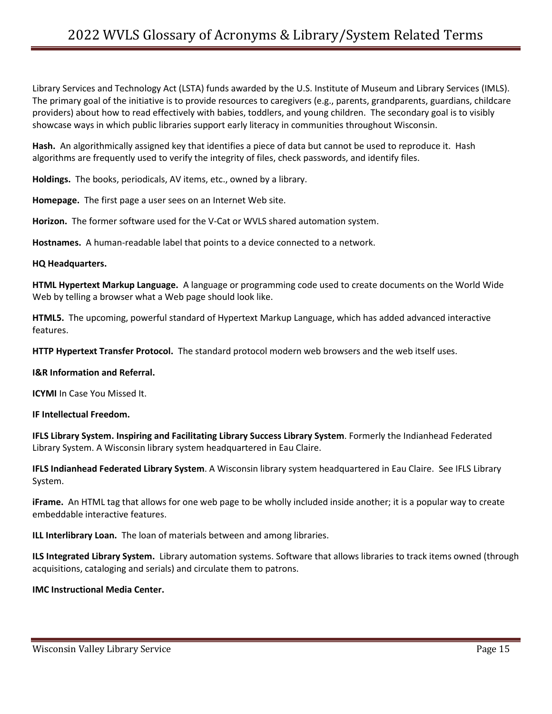Library Services and Technology Act (LSTA) funds awarded by the U.S. Institute of Museum and Library Services (IMLS). The primary goal of the initiative is to provide resources to caregivers (e.g., parents, grandparents, guardians, childcare providers) about how to read effectively with babies, toddlers, and young children. The secondary goal is to visibly showcase ways in which public libraries support early literacy in communities throughout Wisconsin.

**Hash.** An algorithmically assigned key that identifies a piece of data but cannot be used to reproduce it. Hash algorithms are frequently used to verify the integrity of files, check passwords, and identify files.

**Holdings.** The books, periodicals, AV items, etc., owned by a library.

**Homepage.** The first page a user sees on an Internet Web site.

**Horizon.** The former software used for the V-Cat or WVLS shared automation system.

**Hostnames.** A human-readable label that points to a device connected to a network.

#### **HQ Headquarters.**

**HTML Hypertext Markup Language.** A language or programming code used to create documents on the World Wide Web by telling a browser what a Web page should look like.

**HTML5.** The upcoming, powerful standard of Hypertext Markup Language, which has added advanced interactive features.

**HTTP Hypertext Transfer Protocol.** The standard protocol modern web browsers and the web itself uses.

#### **I&R Information and Referral.**

**ICYMI** In Case You Missed It.

#### **IF Intellectual Freedom.**

**IFLS Library System. Inspiring and Facilitating Library Success Library System**. Formerly the Indianhead Federated Library System. A Wisconsin library system headquartered in Eau Claire.

**IFLS Indianhead Federated Library System**. A Wisconsin library system headquartered in Eau Claire. See IFLS Library System.

**iFrame.** An HTML tag that allows for one web page to be wholly included inside another; it is a popular way to create embeddable interactive features.

**ILL Interlibrary Loan.** The loan of materials between and among libraries.

**ILS Integrated Library System.** Library automation systems. Software that allows libraries to track items owned (through acquisitions, cataloging and serials) and circulate them to patrons.

#### **IMC Instructional Media Center.**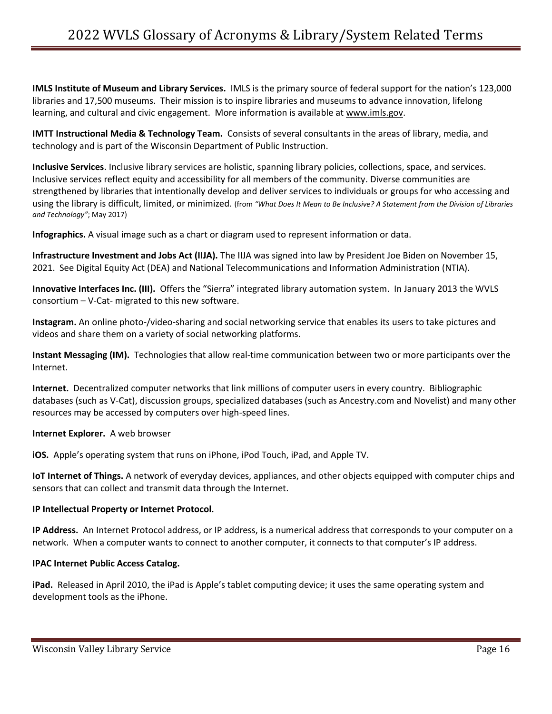**IMLS Institute of Museum and Library Services.** IMLS is the primary source of federal support for the nation's 123,000 libraries and 17,500 museums. Their mission is to inspire libraries and museums to advance innovation, lifelong learning, and cultural and civic engagement. More information is available at [www.imls.gov.](http://www.imls.gov/)

**IMTT Instructional Media & Technology Team.** Consists of several consultants in the areas of library, media, and technology and is part of the Wisconsin Department of Public Instruction.

**Inclusive Services**. Inclusive library services are holistic, spanning library policies, collections, space, and services. Inclusive services reflect equity and accessibility for all members of the community. Diverse communities are strengthened by libraries that intentionally develop and deliver services to individuals or groups for who accessing and using the library is difficult, limited, or minimized. (from *"What Does It Mean to Be Inclusive? A Statement from the Division of Libraries and Technology"*; May 2017)

**Infographics.** A visual image such as a chart or diagram used to represent information or data.

**Infrastructure Investment and Jobs Act (IIJA).** The IIJA was signed into law by President Joe Biden on November 15, 2021. See Digital Equity Act (DEA) and National Telecommunications and Information Administration (NTIA).

**Innovative Interfaces Inc. (III).** Offers the "Sierra" integrated library automation system. In January 2013 the WVLS consortium – V-Cat- migrated to this new software.

**Instagram.** An online photo-/video-sharing and social networking service that enables its users to take pictures and videos and share them on a variety of social networking platforms.

**Instant Messaging (IM).** Technologies that allow real-time communication between two or more participants over the Internet.

**Internet.** Decentralized computer networks that link millions of computer users in every country. Bibliographic databases (such as V-Cat), discussion groups, specialized databases (such as Ancestry.com and Novelist) and many other resources may be accessed by computers over high-speed lines.

# **Internet Explorer.** A web browser

**iOS.** Apple's operating system that runs on iPhone, iPod Touch, iPad, and Apple TV.

**IoT Internet of Things.** A network of everyday devices, appliances, and other objects equipped with computer chips and sensors that can collect and transmit data through the Internet.

# **IP Intellectual Property or Internet Protocol.**

**IP Address.** An Internet Protocol address, or IP address, is a numerical address that corresponds to your computer on a network. When a computer wants to connect to another computer, it connects to that computer's IP address.

#### **IPAC Internet Public Access Catalog.**

**iPad.** Released in April 2010, the iPad is Apple's tablet computing device; it uses the same operating system and development tools as the iPhone.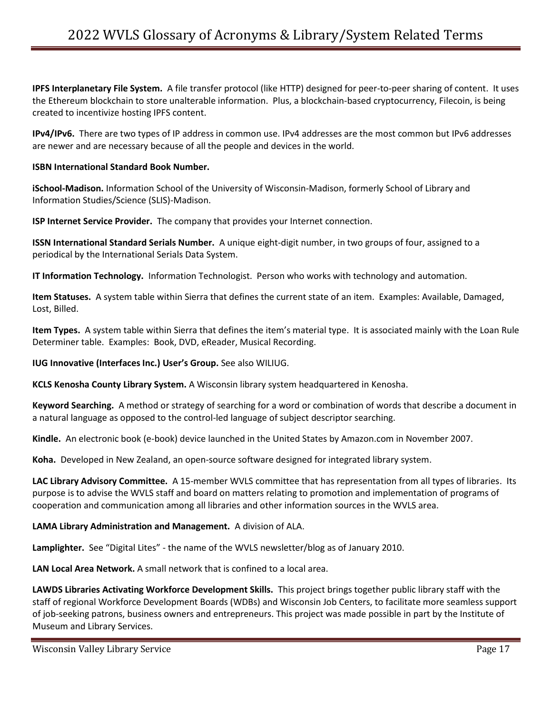**IPFS Interplanetary File System.** A file transfer protocol (like HTTP) designed for peer-to-peer sharing of content. It uses the Ethereum blockchain to store unalterable information. Plus, a blockchain-based cryptocurrency, Filecoin, is being created to incentivize hosting IPFS content.

**IPv4/IPv6.** There are two types of IP address in common use. IPv4 addresses are the most common but IPv6 addresses are newer and are necessary because of all the people and devices in the world.

## **ISBN International Standard Book Number.**

**iSchool-Madison.** Information School of the University of Wisconsin-Madison, formerly School of Library and Information Studies/Science (SLIS)-Madison.

**ISP Internet Service Provider.** The company that provides your Internet connection.

**ISSN International Standard Serials Number.** A unique eight-digit number, in two groups of four, assigned to a periodical by the International Serials Data System.

**IT Information Technology.** Information Technologist. Person who works with technology and automation.

**Item Statuses.** A system table within Sierra that defines the current state of an item. Examples: Available, Damaged, Lost, Billed.

**Item Types.** A system table within Sierra that defines the item's material type. It is associated mainly with the Loan Rule Determiner table. Examples: Book, DVD, eReader, Musical Recording.

**IUG Innovative (Interfaces Inc.) User's Group.** See also WILIUG.

**KCLS Kenosha County Library System.** A Wisconsin library system headquartered in Kenosha.

**Keyword Searching.** A method or strategy of searching for a word or combination of words that describe a document in a natural language as opposed to the control-led language of subject descriptor searching.

**Kindle.** An electronic book (e-book) device launched in the United States by Amazon.com in November 2007.

**Koha.** Developed in New Zealand, an open-source software designed for integrated library system.

**LAC Library Advisory Committee.** A 15-member WVLS committee that has representation from all types of libraries. Its purpose is to advise the WVLS staff and board on matters relating to promotion and implementation of programs of cooperation and communication among all libraries and other information sources in the WVLS area.

# **LAMA Library Administration and Management.** A division of ALA.

**Lamplighter.** See "Digital Lites" - the name of the WVLS newsletter/blog as of January 2010.

**LAN Local Area Network.** A small network that is confined to a local area.

**LAWDS Libraries Activating Workforce Development Skills.** This project brings together public library staff with the staff of regional Workforce Development Boards (WDBs) and Wisconsin Job Centers, to facilitate more seamless support of job-seeking patrons, business owners and entrepreneurs. This project was made possible in part by the Institute of Museum and Library Services.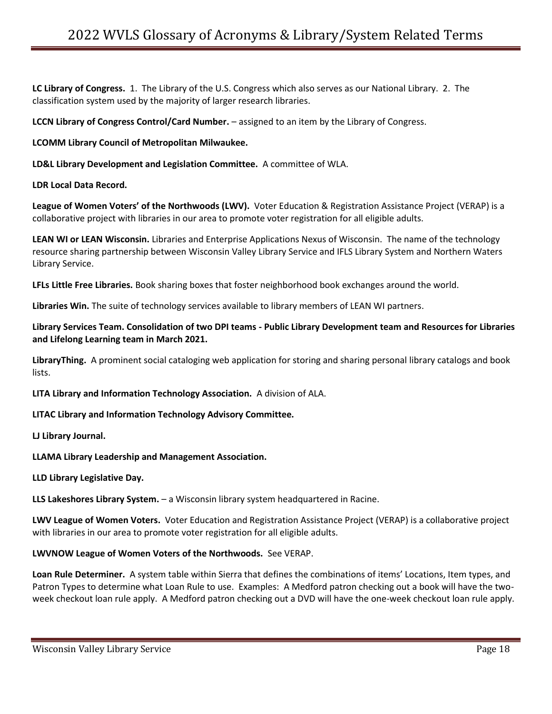**LC Library of Congress.** 1. The Library of the U.S. Congress which also serves as our National Library. 2. The classification system used by the majority of larger research libraries.

**LCCN Library of Congress Control/Card Number.** – assigned to an item by the Library of Congress.

**LCOMM Library Council of Metropolitan Milwaukee.** 

**LD&L Library Development and Legislation Committee.** A committee of WLA.

**LDR Local Data Record.** 

**League of Women Voters' of the Northwoods (LWV).** Voter Education & Registration Assistance Project (VERAP) is a collaborative project with libraries in our area to promote voter registration for all eligible adults.

**LEAN WI or LEAN Wisconsin.** Libraries and Enterprise Applications Nexus of Wisconsin. The name of the technology resource sharing partnership between Wisconsin Valley Library Service and IFLS Library System and Northern Waters Library Service.

**LFLs Little Free Libraries.** Book sharing boxes that foster neighborhood book exchanges around the world.

**Libraries Win.** The suite of technology services available to library members of LEAN WI partners.

**Library Services Team. Consolidation of two DPI teams - Public Library Development team and Resources for Libraries and Lifelong Learning team in March 2021.**

**LibraryThing.** A prominent social cataloging web application for storing and sharing personal library catalogs and book lists.

**LITA Library and Information Technology Association.** A division of ALA.

**LITAC Library and Information Technology Advisory Committee.** 

**LJ Library Journal.** 

**LLAMA Library Leadership and Management Association.** 

**LLD Library Legislative Day.** 

**LLS Lakeshores Library System.** – a Wisconsin library system headquartered in Racine.

**LWV League of Women Voters.** Voter Education and Registration Assistance Project (VERAP) is a collaborative project with libraries in our area to promote voter registration for all eligible adults.

**LWVNOW League of Women Voters of the Northwoods.** See VERAP.

**Loan Rule Determiner.** A system table within Sierra that defines the combinations of items' Locations, Item types, and Patron Types to determine what Loan Rule to use. Examples: A Medford patron checking out a book will have the twoweek checkout loan rule apply. A Medford patron checking out a DVD will have the one-week checkout loan rule apply.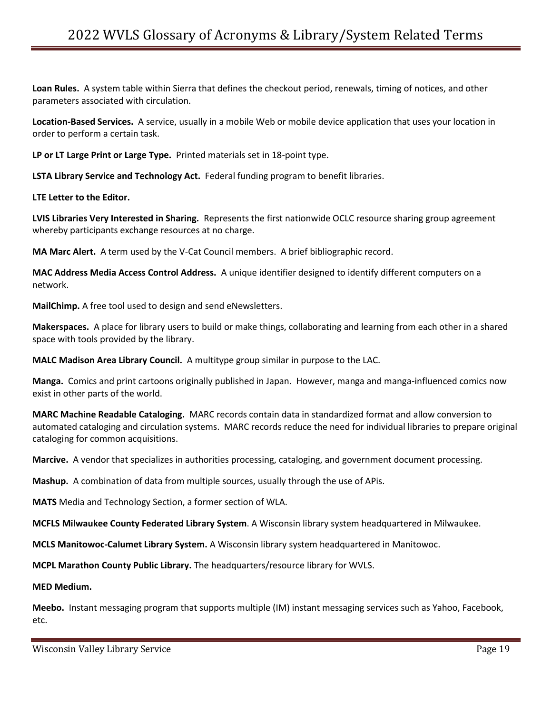**Loan Rules.** A system table within Sierra that defines the checkout period, renewals, timing of notices, and other parameters associated with circulation.

**Location-Based Services.** A service, usually in a mobile Web or mobile device application that uses your location in order to perform a certain task.

**LP or LT Large Print or Large Type.** Printed materials set in 18-point type.

**LSTA Library Service and Technology Act.** Federal funding program to benefit libraries.

**LTE Letter to the Editor.**

**LVIS Libraries Very Interested in Sharing.** Represents the first nationwide OCLC resource sharing group agreement whereby participants exchange resources at no charge.

**MA Marc Alert.** A term used by the V-Cat Council members. A brief bibliographic record.

**MAC Address Media Access Control Address.** A unique identifier designed to identify different computers on a network.

**MailChimp.** A free tool used to design and send eNewsletters.

**Makerspaces.** A place for library users to build or make things, collaborating and learning from each other in a shared space with tools provided by the library.

**MALC Madison Area Library Council.** A multitype group similar in purpose to the LAC.

**Manga.** Comics and print cartoons originally published in Japan. However, manga and manga-influenced comics now exist in other parts of the world.

**MARC Machine Readable Cataloging.** MARC records contain data in standardized format and allow conversion to automated cataloging and circulation systems. MARC records reduce the need for individual libraries to prepare original cataloging for common acquisitions.

**Marcive.** A vendor that specializes in authorities processing, cataloging, and government document processing.

**Mashup.** A combination of data from multiple sources, usually through the use of APis.

**MATS** Media and Technology Section, a former section of WLA.

**MCFLS Milwaukee County Federated Library System**. A Wisconsin library system headquartered in Milwaukee.

**MCLS Manitowoc-Calumet Library System.** A Wisconsin library system headquartered in Manitowoc.

**MCPL Marathon County Public Library.** The headquarters/resource library for WVLS.

#### **MED Medium.**

**Meebo.** Instant messaging program that supports multiple (IM) instant messaging services such as Yahoo, Facebook, etc.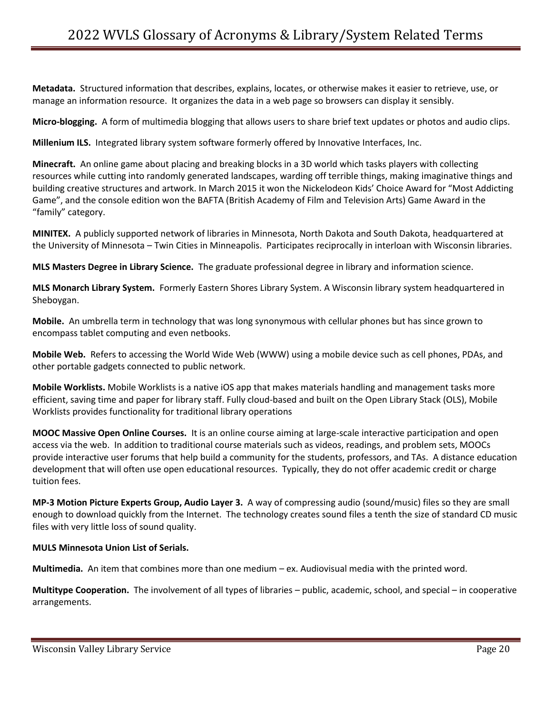**Metadata.** Structured information that describes, explains, locates, or otherwise makes it easier to retrieve, use, or manage an information resource. It organizes the data in a web page so browsers can display it sensibly.

**Micro-blogging.** A form of multimedia blogging that allows users to share brief text updates or photos and audio clips.

**Millenium ILS.** Integrated library system software formerly offered by Innovative Interfaces, Inc.

**Minecraft.** An online game about placing and breaking blocks in a 3D world which tasks players with collecting resources while cutting into randomly generated landscapes, warding off terrible things, making imaginative things and building creative structures and artwork. In March 2015 it won the Nickelodeon Kids' Choice Award for "Most Addicting Game", and the console edition won the BAFTA (British Academy of Film and Television Arts) Game Award in the "family" category.

**MINITEX.** A publicly supported network of libraries in Minnesota, North Dakota and South Dakota, headquartered at the University of Minnesota – Twin Cities in Minneapolis. Participates reciprocally in interloan with Wisconsin libraries.

**MLS Masters Degree in Library Science.** The graduate professional degree in library and information science.

**MLS Monarch Library System.** Formerly Eastern Shores Library System. A Wisconsin library system headquartered in Sheboygan.

**Mobile.** An umbrella term in technology that was long synonymous with cellular phones but has since grown to encompass tablet computing and even netbooks.

**Mobile Web.** Refers to accessing the World Wide Web (WWW) using a mobile device such as cell phones, PDAs, and other portable gadgets connected to public network.

**Mobile Worklists.** Mobile Worklists is a native iOS app that makes materials handling and management tasks more efficient, saving time and paper for library staff. Fully cloud-based and built on the Open Library Stack (OLS), Mobile Worklists provides functionality for traditional library operations

**MOOC Massive Open Online Courses.** It is an online course aiming at large-scale interactive participation and open access via the web. In addition to traditional course materials such as videos, readings, and problem sets, MOOCs provide interactive user forums that help build a community for the students, professors, and TAs. A distance education development that will often use open educational resources. Typically, they do not offer academic credit or charge tuition fees.

**MP-3 Motion Picture Experts Group, Audio Layer 3.** A way of compressing audio (sound/music) files so they are small enough to download quickly from the Internet. The technology creates sound files a tenth the size of standard CD music files with very little loss of sound quality.

#### **MULS Minnesota Union List of Serials.**

**Multimedia.** An item that combines more than one medium – ex. Audiovisual media with the printed word.

**Multitype Cooperation.** The involvement of all types of libraries – public, academic, school, and special – in cooperative arrangements.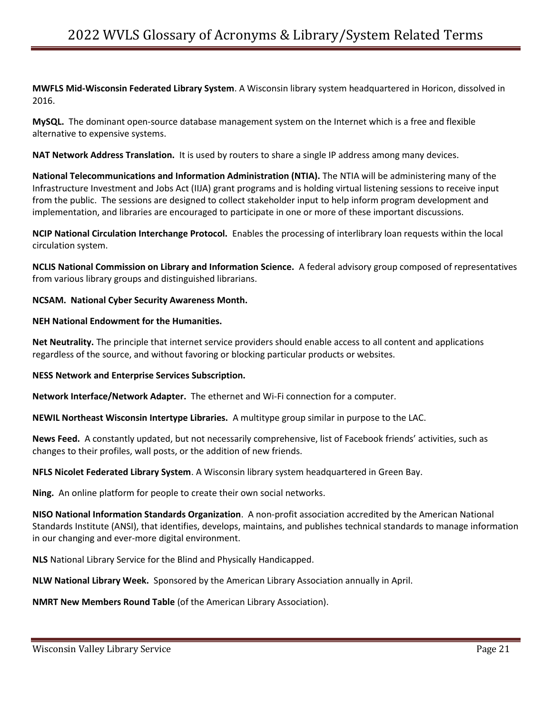**MWFLS Mid-Wisconsin Federated Library System**. A Wisconsin library system headquartered in Horicon, dissolved in 2016.

**MySQL.** The dominant open-source database management system on the Internet which is a free and flexible alternative to expensive systems.

**NAT Network Address Translation.** It is used by routers to share a single IP address among many devices.

**National Telecommunications and Information Administration (NTIA).** The NTIA will be administering many of the Infrastructure Investment and Jobs Act (IIJA) grant programs and is holding virtual listening sessions to receive input from the public. The sessions are designed to collect stakeholder input to help inform program development and implementation, and libraries are encouraged to participate in one or more of these important discussions.

**NCIP National Circulation Interchange Protocol.** Enables the processing of interlibrary loan requests within the local circulation system.

**NCLIS National Commission on Library and Information Science.** A federal advisory group composed of representatives from various library groups and distinguished librarians.

**NCSAM. National Cyber Security Awareness Month.** 

## **NEH National Endowment for the Humanities.**

**Net Neutrality.** The principle that internet service providers should enable access to all content and applications regardless of the source, and without favoring or blocking particular products or websites.

**NESS Network and Enterprise Services Subscription.**

**Network Interface/Network Adapter.** The ethernet and Wi-Fi connection for a computer.

**NEWIL Northeast Wisconsin Intertype Libraries.** A multitype group similar in purpose to the LAC.

**News Feed.** A constantly updated, but not necessarily comprehensive, list of Facebook friends' activities, such as changes to their profiles, wall posts, or the addition of new friends.

**NFLS Nicolet Federated Library System**. A Wisconsin library system headquartered in Green Bay.

**Ning.** An online platform for people to create their own social networks.

**NISO National Information Standards Organization**. A non-profit association accredited by the American National Standards Institute (ANSI), that identifies, develops, maintains, and publishes technical standards to manage information in our changing and ever-more digital environment.

**NLS** National Library Service for the Blind and Physically Handicapped.

**NLW National Library Week.** Sponsored by the American Library Association annually in April.

**NMRT New Members Round Table** (of the American Library Association).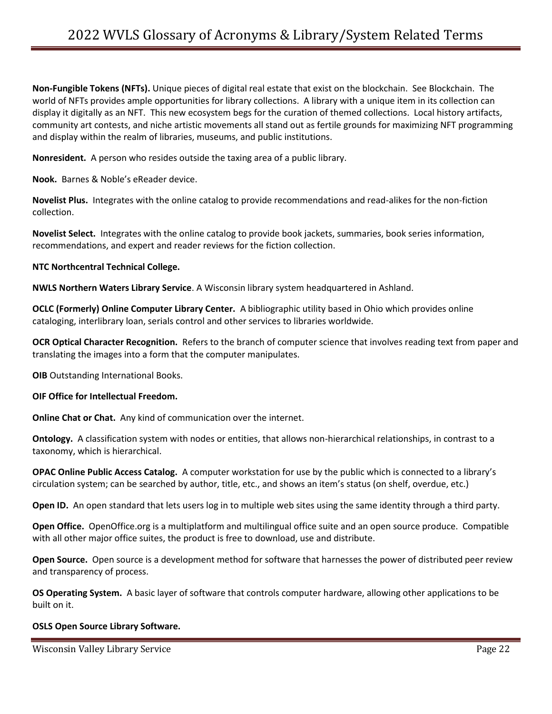**Non-Fungible Tokens (NFTs).** Unique pieces of digital real estate that exist on the blockchain. See Blockchain. The world of NFTs provides ample opportunities for library collections. A library with a unique item in its collection can display it digitally as an NFT. This new ecosystem begs for the curation of themed collections. Local history artifacts, community art contests, and niche artistic movements all stand out as fertile grounds for maximizing NFT programming and display within the realm of libraries, museums, and public institutions.

**Nonresident.** A person who resides outside the taxing area of a public library.

**Nook.** Barnes & Noble's eReader device.

**Novelist Plus.** Integrates with the online catalog to provide recommendations and read-alikes for the non-fiction collection.

**Novelist Select.** Integrates with the online catalog to provide book jackets, summaries, book series information, recommendations, and expert and reader reviews for the fiction collection.

## **NTC Northcentral Technical College.**

**NWLS Northern Waters Library Service**. A Wisconsin library system headquartered in Ashland.

**OCLC (Formerly) Online Computer Library Center.** A bibliographic utility based in Ohio which provides online cataloging, interlibrary loan, serials control and other services to libraries worldwide.

**OCR Optical Character Recognition.** Refers to the branch of computer science that involves reading text from paper and translating the images into a form that the computer manipulates.

**OIB** Outstanding International Books.

#### **OIF Office for Intellectual Freedom.**

**Online Chat or Chat.** Any kind of communication over the internet.

**Ontology.** A classification system with nodes or entities, that allows non-hierarchical relationships, in contrast to a taxonomy, which is hierarchical.

**OPAC Online Public Access Catalog.** A computer workstation for use by the public which is connected to a library's circulation system; can be searched by author, title, etc., and shows an item's status (on shelf, overdue, etc.)

**Open ID.** An open standard that lets users log in to multiple web sites using the same identity through a third party.

**Open Office.** OpenOffice.org is a multiplatform and multilingual office suite and an open source produce. Compatible with all other major office suites, the product is free to download, use and distribute.

**Open Source.** Open source is a development method for software that harnesses the power of distributed peer review and transparency of process.

**OS Operating System.** A basic layer of software that controls computer hardware, allowing other applications to be built on it.

# **OSLS Open Source Library Software.**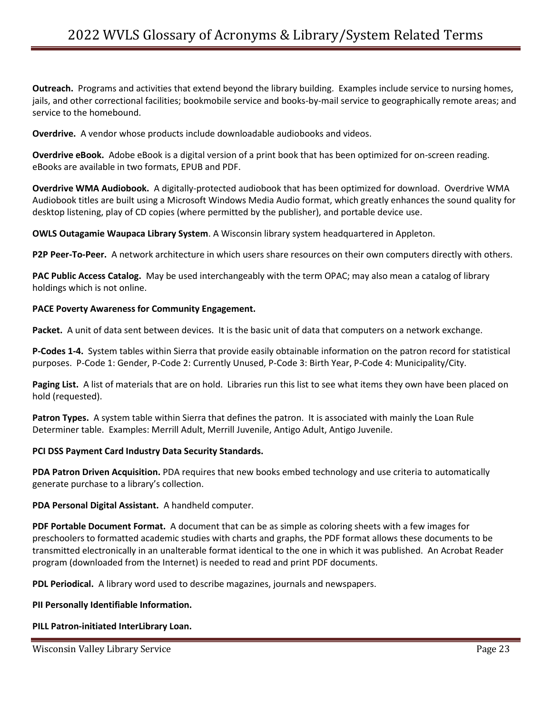**Outreach.** Programs and activities that extend beyond the library building. Examples include service to nursing homes, jails, and other correctional facilities; bookmobile service and books-by-mail service to geographically remote areas; and service to the homebound.

**Overdrive.** A vendor whose products include downloadable audiobooks and videos.

**Overdrive eBook.** Adobe eBook is a digital version of a print book that has been optimized for on-screen reading. eBooks are available in two formats, EPUB and PDF.

**Overdrive WMA Audiobook.** A digitally-protected audiobook that has been optimized for download. Overdrive WMA Audiobook titles are built using a Microsoft Windows Media Audio format, which greatly enhances the sound quality for desktop listening, play of CD copies (where permitted by the publisher), and portable device use.

**OWLS Outagamie Waupaca Library System**. A Wisconsin library system headquartered in Appleton.

**P2P Peer-To-Peer.** A network architecture in which users share resources on their own computers directly with others.

**PAC Public Access Catalog.** May be used interchangeably with the term OPAC; may also mean a catalog of library holdings which is not online.

#### **PACE Poverty Awareness for Community Engagement.**

**Packet.** A unit of data sent between devices. It is the basic unit of data that computers on a network exchange.

**P-Codes 1-4.** System tables within Sierra that provide easily obtainable information on the patron record for statistical purposes. P-Code 1: Gender, P-Code 2: Currently Unused, P-Code 3: Birth Year, P-Code 4: Municipality/City.

**Paging List.** A list of materials that are on hold. Libraries run this list to see what items they own have been placed on hold (requested).

**Patron Types.** A system table within Sierra that defines the patron. It is associated with mainly the Loan Rule Determiner table. Examples: Merrill Adult, Merrill Juvenile, Antigo Adult, Antigo Juvenile.

#### **PCI DSS Payment Card Industry Data Security Standards.**

**PDA Patron Driven Acquisition.** PDA requires that new books embed technology and use criteria to automatically generate purchase to a library's collection.

**PDA Personal Digital Assistant.** A handheld computer.

**PDF Portable Document Format.** A document that can be as simple as coloring sheets with a few images for preschoolers to formatted academic studies with charts and graphs, the PDF format allows these documents to be transmitted electronically in an unalterable format identical to the one in which it was published. An Acrobat Reader program (downloaded from the Internet) is needed to read and print PDF documents.

**PDL Periodical.** A library word used to describe magazines, journals and newspapers.

#### **PII Personally Identifiable Information.**

**PILL Patron-initiated InterLibrary Loan.**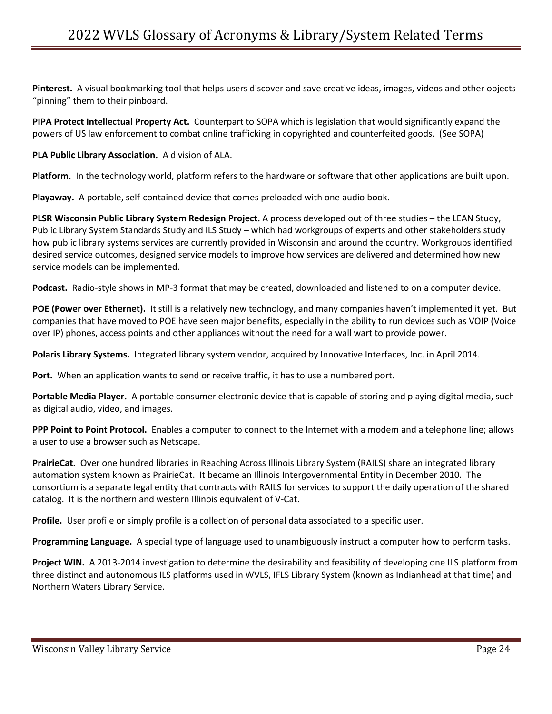**Pinterest.** A visual bookmarking tool that helps users discover and save creative ideas, images, videos and other objects "pinning" them to their pinboard.

**PIPA Protect Intellectual Property Act.** Counterpart to SOPA which is legislation that would significantly expand the powers of US law enforcement to combat online trafficking in copyrighted and counterfeited goods. (See SOPA)

**PLA Public Library Association.** A division of ALA.

**Platform.** In the technology world, platform refers to the hardware or software that other applications are built upon.

**Playaway.** A portable, self-contained device that comes preloaded with one audio book.

**PLSR Wisconsin Public Library System Redesign Project.** A process developed out of three studies – the LEAN Study, Public Library System Standards Study and ILS Study – which had workgroups of experts and other stakeholders study how public library systems services are currently provided in Wisconsin and around the country. Workgroups identified desired service outcomes, designed service models to improve how services are delivered and determined how new service models can be implemented.

**Podcast.** Radio-style shows in MP-3 format that may be created, downloaded and listened to on a computer device.

**POE (Power over Ethernet).** It still is a relatively new technology, and many companies haven't implemented it yet. But companies that have moved to POE have seen major benefits, especially in the ability to run devices such as VOIP (Voice over IP) phones, access points and other appliances without the need for a wall wart to provide power.

**Polaris Library Systems.** Integrated library system vendor, acquired by Innovative Interfaces, Inc. in April 2014.

**Port.** When an application wants to send or receive traffic, it has to use a numbered port.

**Portable Media Player.** A portable consumer electronic device that is capable of storing and playing digital media, such as digital audio, video, and images.

**PPP Point to Point Protocol.** Enables a computer to connect to the Internet with a modem and a telephone line; allows a user to use a browser such as Netscape.

**PrairieCat.** Over one hundred libraries in Reaching Across Illinois Library System (RAILS) share an integrated library automation system known as PrairieCat. It became an Illinois Intergovernmental Entity in December 2010. The consortium is a separate legal entity that contracts with RAILS for services to support the daily operation of the shared catalog. It is the northern and western Illinois equivalent of V-Cat.

**Profile.** User profile or simply profile is a collection of personal data associated to a specific user.

**Programming Language.** A special type of language used to unambiguously instruct a computer how to perform tasks.

**Project WIN.** A 2013-2014 investigation to determine the desirability and feasibility of developing one ILS platform from three distinct and autonomous ILS platforms used in WVLS, IFLS Library System (known as Indianhead at that time) and Northern Waters Library Service.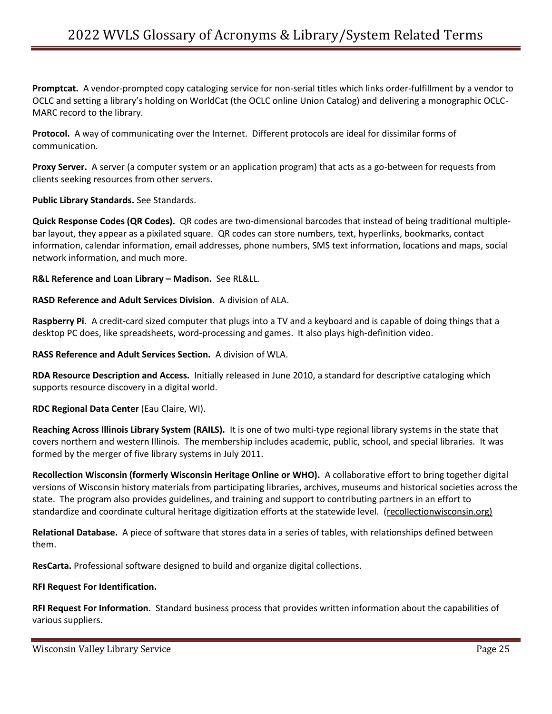**Promptcat.** A vendor-prompted copy cataloging service for non-serial titles which links order-fulfillment by a vendor to OCLC and setting a library's holding on WorldCat (the OCLC online Union Catalog) and delivering a monographic OCLC-MARC record to the library.

**Protocol.** A way of communicating over the Internet.Different protocols are ideal for dissimilar forms of communication.

**Proxy Server.** A server (a computer system or an application program) that acts as a go-between for requests from clients seeking resources from other servers.

**Public Library Standards.** See Standards.

**Quick Response Codes (QR Codes).** QR codes are two-dimensional barcodes that instead of being traditional multiplebar layout, they appear as a pixilated square. QR codes can store numbers, text, hyperlinks, bookmarks, contact information, calendar information, email addresses, phone numbers, SMS text information, locations and maps, social network information, and much more.

**R&L Reference and Loan Library – Madison.** See RL&LL.

**RASD Reference and Adult Services Division.** A division of ALA.

**Raspberry Pi.** A credit-card sized computer that plugs into a TV and a keyboard and is capable of doing things that a desktop PC does, like spreadsheets, word-processing and games. It also plays high-definition video.

**RASS Reference and Adult Services Section.** A division of WLA.

**RDA Resource Description and Access.** Initially released in June 2010, a standard for descriptive cataloging which supports resource discovery in a digital world.

**RDC Regional Data Center** (Eau Claire, WI).

**Reaching Across Illinois Library System (RAILS).** It is one of two multi-type regional library systems in the state that covers northern and western Illinois. The membership includes academic, public, school, and special libraries. It was formed by the merger of five library systems in July 2011.

**Recollection Wisconsin (formerly Wisconsin Heritage Online or WHO).** A collaborative effort to bring together digital versions of Wisconsin history materials from participating libraries, archives, museums and historical societies across the state. The program also provides guidelines, and training and support to contributing partners in an effort to standardize and coordinate cultural heritage digitization efforts at the statewide level. (recollectionwisconsin.org)

**Relational Database.** A piece of software that stores data in a series of tables, with relationships defined between them.

**ResCarta.** Professional software designed to build and organize digital collections.

# **RFI Request For Identification.**

**RFI Request For Information.** Standard business process that provides written information about the capabilities of various suppliers.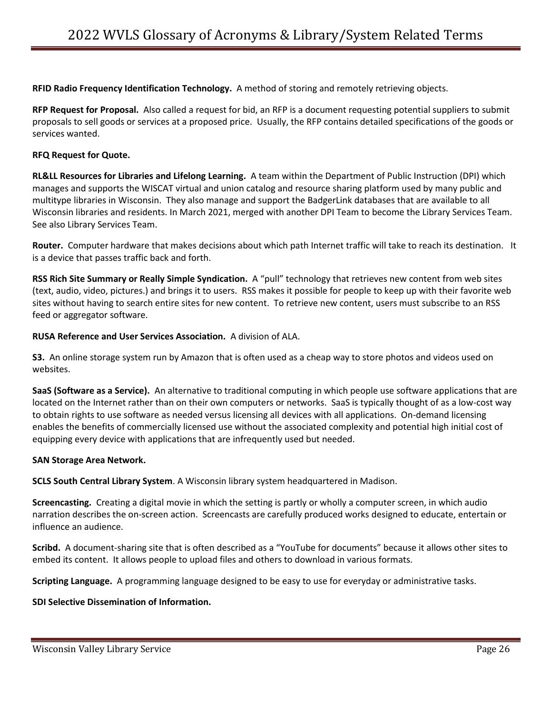**RFID Radio Frequency Identification Technology.** A method of storing and remotely retrieving objects.

**RFP Request for Proposal.** Also called a request for bid, an RFP is a document requesting potential suppliers to submit proposals to sell goods or services at a proposed price. Usually, the RFP contains detailed specifications of the goods or services wanted.

### **RFQ Request for Quote.**

**RL&LL Resources for Libraries and Lifelong Learning.** A team within the Department of Public Instruction (DPI) which manages and supports the WISCAT virtual and union catalog and resource sharing platform used by many public and multitype libraries in Wisconsin. They also manage and support the BadgerLink databases that are available to all Wisconsin libraries and residents. In March 2021, merged with another DPI Team to become the Library Services Team. See also Library Services Team.

**Router.** Computer hardware that makes decisions about which path Internet traffic will take to reach its destination. It is a device that passes traffic back and forth.

**RSS Rich Site Summary or Really Simple Syndication.** A "pull" technology that retrieves new content from web sites (text, audio, video, pictures.) and brings it to users. RSS makes it possible for people to keep up with their favorite web sites without having to search entire sites for new content. To retrieve new content, users must subscribe to an RSS feed or aggregator software.

## **RUSA Reference and User Services Association.** A division of ALA.

**S3.** An online storage system run by Amazon that is often used as a cheap way to store photos and videos used on websites.

**SaaS (Software as a Service).** An alternative to traditional computing in which people use software applications that are located on the Internet rather than on their own computers or networks. SaaS is typically thought of as a low-cost way to obtain rights to use software as needed versus licensing all devices with all applications. On-demand licensing enables the benefits of commercially licensed use without the associated complexity and potential high initial cost of equipping every device with applications that are infrequently used but needed.

#### **SAN Storage Area Network.**

**SCLS South Central Library System**. A Wisconsin library system headquartered in Madison.

**Screencasting.** Creating a digital movie in which the setting is partly or wholly a computer screen, in which audio narration describes the on-screen action. Screencasts are carefully produced works designed to educate, entertain or influence an audience.

**Scribd.** A document-sharing site that is often described as a "YouTube for documents" because it allows other sites to embed its content. It allows people to upload files and others to download in various formats.

**Scripting Language.** A programming language designed to be easy to use for everyday or administrative tasks.

#### **SDI Selective Dissemination of Information.**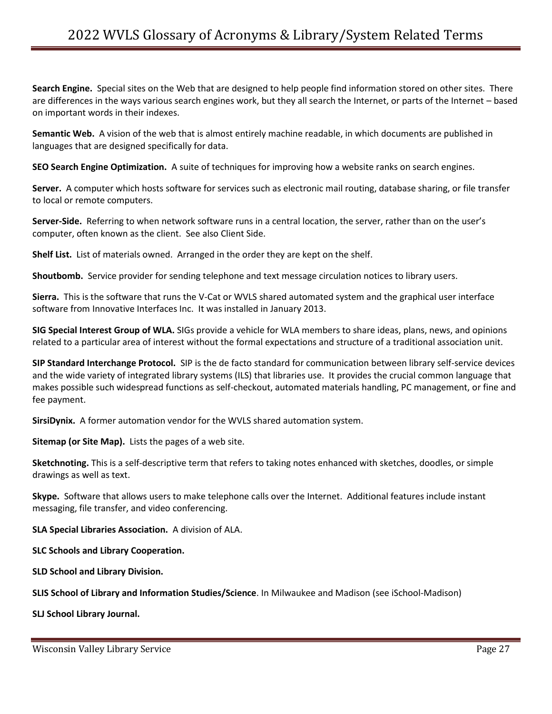**Search Engine.** Special sites on the Web that are designed to help people find information stored on other sites. There are differences in the ways various search engines work, but they all search the Internet, or parts of the Internet – based on important words in their indexes.

**Semantic Web.** A vision of the web that is almost entirely machine readable, in which documents are published in languages that are designed specifically for data.

**SEO Search Engine Optimization.** A suite of techniques for improving how a website ranks on search engines.

**Server.** A computer which hosts software for services such as electronic mail routing, database sharing, or file transfer to local or remote computers.

**Server-Side.** Referring to when network software runs in a central location, the server, rather than on the user's computer, often known as the client. See also Client Side.

**Shelf List.** List of materials owned. Arranged in the order they are kept on the shelf.

**Shoutbomb.** Service provider for sending telephone and text message circulation notices to library users.

**Sierra.** This is the software that runs the V-Cat or WVLS shared automated system and the graphical user interface software from Innovative Interfaces Inc. It was installed in January 2013.

**SIG Special Interest Group of WLA.** SIGs provide a vehicle for WLA members to share ideas, plans, news, and opinions related to a particular area of interest without the formal expectations and structure of a traditional association unit.

**SIP Standard Interchange Protocol.** SIP is the de facto standard for communication between library self-service devices and the wide variety of integrated library systems (ILS) that libraries use. It provides the crucial common language that makes possible such widespread functions as self-checkout, automated materials handling, PC management, or fine and fee payment.

**SirsiDynix.** A former automation vendor for the WVLS shared automation system.

**Sitemap (or Site Map).** Lists the pages of a web site.

**Sketchnoting.** This is a self-descriptive term that refers to taking notes enhanced with sketches, doodles, or simple drawings as well as text.

**Skype.** Software that allows users to make telephone calls over the Internet. Additional features include instant messaging, file transfer, and video conferencing.

**SLA Special Libraries Association.** A division of ALA.

**SLC Schools and Library Cooperation.** 

**SLD School and Library Division.** 

**SLIS School of Library and Information Studies/Science**. In Milwaukee and Madison (see iSchool-Madison)

**SLJ School Library Journal.**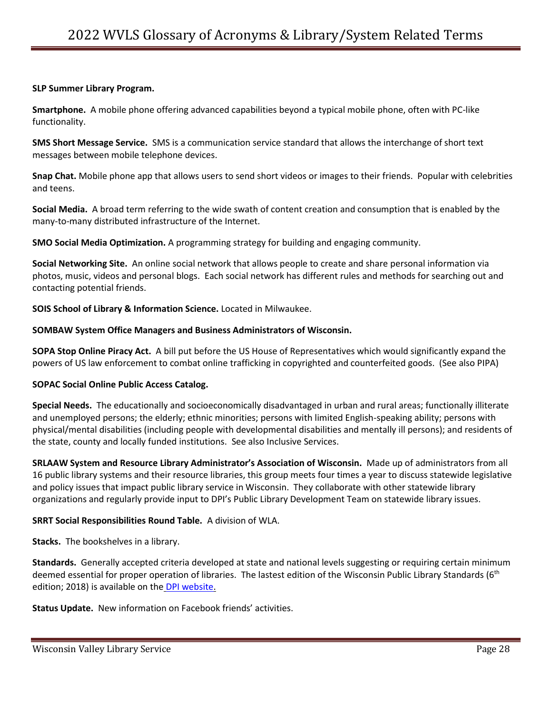#### **SLP Summer Library Program.**

**Smartphone.** A mobile phone offering advanced capabilities beyond a typical mobile phone, often with PC-like functionality.

**SMS Short Message Service.** SMS is a communication service standard that allows the interchange of short text messages between mobile telephone devices.

**Snap Chat.** Mobile phone app that allows users to send short videos or images to their friends. Popular with celebrities and teens.

**Social Media.** A broad term referring to the wide swath of content creation and consumption that is enabled by the many-to-many distributed infrastructure of the Internet.

**SMO Social Media Optimization.** A programming strategy for building and engaging community.

**Social Networking Site.** An online social network that allows people to create and share personal information via photos, music, videos and personal blogs. Each social network has different rules and methods for searching out and contacting potential friends.

**SOIS School of Library & Information Science.** Located in Milwaukee.

#### **SOMBAW System Office Managers and Business Administrators of Wisconsin.**

**SOPA Stop Online Piracy Act.** A bill put before the US House of Representatives which would significantly expand the powers of US law enforcement to combat online trafficking in copyrighted and counterfeited goods. (See also PIPA)

#### **SOPAC Social Online Public Access Catalog.**

**Special Needs.** The educationally and socioeconomically disadvantaged in urban and rural areas; functionally illiterate and unemployed persons; the elderly; ethnic minorities; persons with limited English-speaking ability; persons with physical/mental disabilities (including people with developmental disabilities and mentally ill persons); and residents of the state, county and locally funded institutions. See also Inclusive Services.

**SRLAAW System and Resource Library Administrator's Association of Wisconsin.** Made up of administrators from all 16 public library systems and their resource libraries, this group meets four times a year to discuss statewide legislative and policy issues that impact public library service in Wisconsin. They collaborate with other statewide library organizations and regularly provide input to DPI's Public Library Development Team on statewide library issues.

#### **SRRT Social Responsibilities Round Table.** A division of WLA.

**Stacks.** The bookshelves in a library.

**Standards.** Generally accepted criteria developed at state and national levels suggesting or requiring certain minimum deemed essential for proper operation of libraries. The lastest edition of the Wisconsin Public Library Standards (6<sup>th</sup>) edition; 2018) is available on the [DPI website.](https://dpi.wi.gov/sites/default/files/imce/pld/pdf/wisconsin_public_library_standards_6th_edition_2018_final.pdf)

**Status Update.** New information on Facebook friends' activities.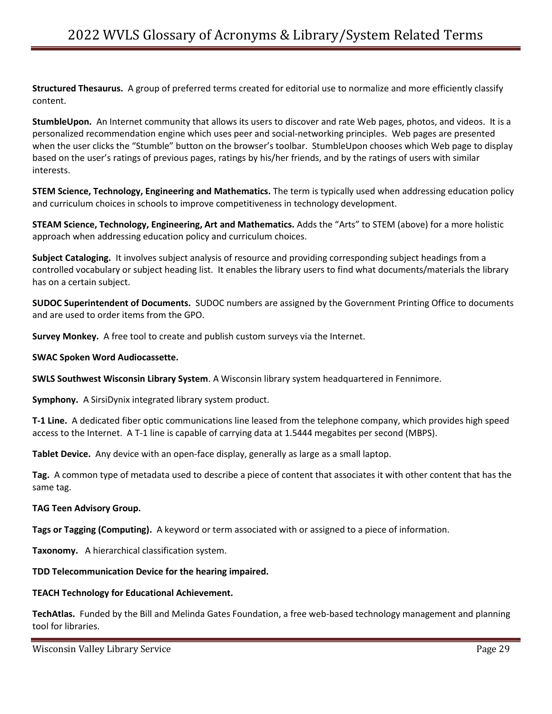**Structured Thesaurus.** A group of preferred terms created for editorial use to normalize and more efficiently classify content.

**StumbleUpon.** An Internet community that allows its users to discover and rate Web pages, photos, and videos. It is a personalized recommendation engine which uses peer and social-networking principles. Web pages are presented when the user clicks the "Stumble" button on the browser's toolbar. StumbleUpon chooses which Web page to display based on the user's ratings of previous pages, ratings by his/her friends, and by the ratings of users with similar interests.

**STEM Science, Technology, Engineering and Mathematics.** The term is typically used when addressing education policy and curriculum choices in schools to improve competitiveness in technology development.

**STEAM Science, Technology, Engineering, Art and Mathematics.** Adds the "Arts" to STEM (above) for a more holistic approach when addressing education policy and curriculum choices.

**Subject Cataloging.** It involves subject analysis of resource and providing corresponding subject headings from a controlled vocabulary or subject heading list. It enables the library users to find what documents/materials the library has on a certain subject.

**SUDOC Superintendent of Documents.** SUDOC numbers are assigned by the Government Printing Office to documents and are used to order items from the GPO.

**Survey Monkey.** A free tool to create and publish custom surveys via the Internet.

#### **SWAC Spoken Word Audiocassette.**

**SWLS Southwest Wisconsin Library System**. A Wisconsin library system headquartered in Fennimore.

**Symphony.** A SirsiDynix integrated library system product.

**T-1 Line.** A dedicated fiber optic communications line leased from the telephone company, which provides high speed access to the Internet. A T-1 line is capable of carrying data at 1.5444 megabites per second (MBPS).

**Tablet Device.** Any device with an open-face display, generally as large as a small laptop.

**Tag.** A common type of metadata used to describe a piece of content that associates it with other content that has the same tag.

#### **TAG Teen Advisory Group.**

**Tags or Tagging (Computing).** A keyword or term associated with or assigned to a piece of information.

**Taxonomy.** A hierarchical classification system.

#### **TDD Telecommunication Device for the hearing impaired.**

#### **TEACH Technology for Educational Achievement.**

**TechAtlas.** Funded by the Bill and Melinda Gates Foundation, a free web-based technology management and planning tool for libraries.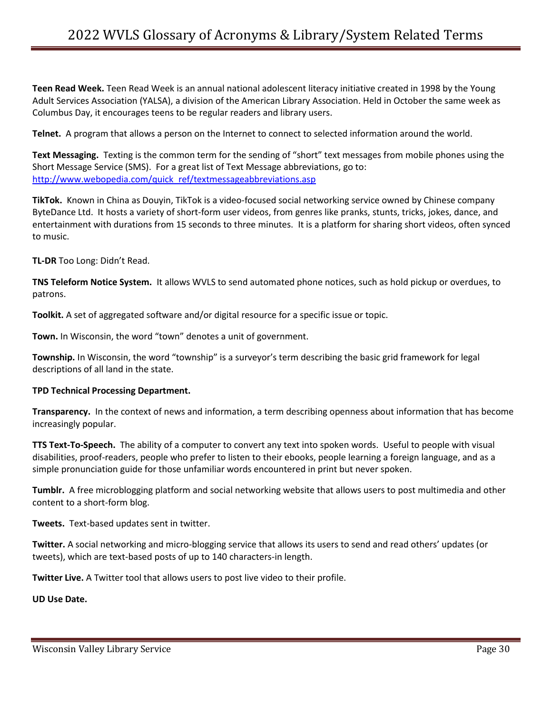**Teen Read Week.** Teen Read Week is an annual national adolescent literacy initiative created in 1998 by the Young Adult Services Association (YALSA), a division of the American Library Association. Held in October the same week as Columbus Day, it encourages teens to be regular readers and library users.

**Telnet.** A program that allows a person on the Internet to connect to selected information around the world.

**Text Messaging.** Texting is the common term for the sending of "short" text messages from mobile phones using the Short Message Service (SMS). For a great list of Text Message abbreviations, go to: [http://www.webopedia.com/quick\\_ref/textmessageabbreviations.asp](http://www.webopedia.com/quick_ref/textmessageabbreviations.asp)

**TikTok.** Known in China as Douyin, TikTok is a video-focused social networking service owned by Chinese company ByteDance Ltd. It hosts a variety of short-form user videos, from genres like pranks, stunts, tricks, jokes, dance, and entertainment with durations from 15 seconds to three minutes. It is a platform for sharing short videos, often synced to music.

**TL-DR** Too Long: Didn't Read.

**TNS Teleform Notice System.** It allows WVLS to send automated phone notices, such as hold pickup or overdues, to patrons.

**Toolkit.** A set of aggregated software and/or digital resource for a specific issue or topic.

**Town.** In Wisconsin, the word "town" denotes a unit of government.

**Township.** In Wisconsin, the word "township" is a surveyor's term describing the basic grid framework for legal descriptions of all land in the state.

#### **TPD Technical Processing Department.**

**Transparency.** In the context of news and information, a term describing openness about information that has become increasingly popular.

**TTS Text-To-Speech.** The ability of a computer to convert any text into spoken words. Useful to people with visual disabilities, proof-readers, people who prefer to listen to their ebooks, people learning a foreign language, and as a simple pronunciation guide for those unfamiliar words encountered in print but never spoken.

**Tumblr.** A free microblogging platform and social networking website that allows users to post multimedia and other content to a short-form blog.

**Tweets.** Text-based updates sent in twitter.

**Twitter.** A social networking and micro-blogging service that allows its users to send and read others' updates (or tweets), which are text-based posts of up to 140 characters-in length.

**Twitter Live.** A Twitter tool that allows users to post live video to their profile.

**UD Use Date.**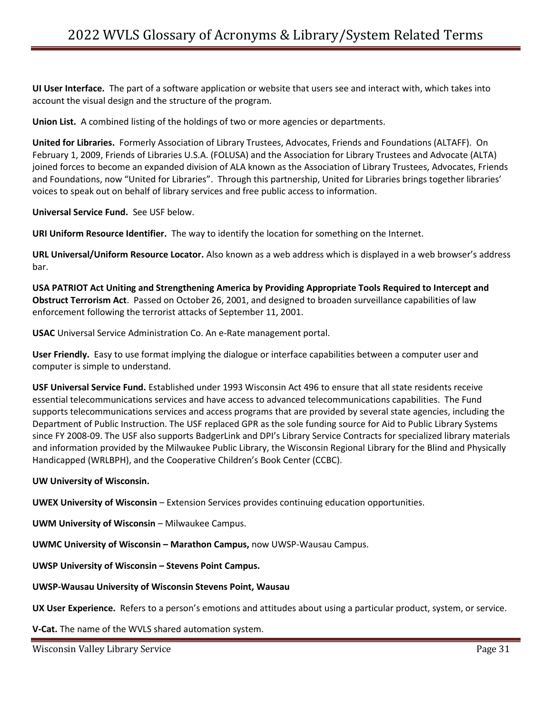**UI User Interface.** The part of a software application or website that users see and interact with, which takes into account the visual design and the structure of the program.

**Union List.** A combined listing of the holdings of two or more agencies or departments.

**United for Libraries.** Formerly Association of Library Trustees, Advocates, Friends and Foundations (ALTAFF). On February 1, 2009, Friends of Libraries U.S.A. (FOLUSA) and the Association for Library Trustees and Advocate (ALTA) joined forces to become an expanded division of ALA known as the Association of Library Trustees, Advocates, Friends and Foundations, now "United for Libraries". Through this partnership, United for Libraries brings together libraries' voices to speak out on behalf of library services and free public access to information.

**Universal Service Fund.** See USF below.

**URI Uniform Resource Identifier.** The way to identify the location for something on the Internet.

**URL Universal/Uniform Resource Locator.** Also known as a web address which is displayed in a web browser's address bar.

**USA PATRIOT Act Uniting and Strengthening America by Providing Appropriate Tools Required to Intercept and Obstruct Terrorism Act**. Passed on October 26, 2001, and designed to broaden surveillance capabilities of law enforcement following the terrorist attacks of September 11, 2001.

**USAC** Universal Service Administration Co. An e-Rate management portal.

**User Friendly.** Easy to use format implying the dialogue or interface capabilities between a computer user and computer is simple to understand.

**USF Universal Service Fund.** Established under 1993 Wisconsin Act 496 to ensure that all state residents receive essential telecommunications services and have access to advanced telecommunications capabilities. The Fund supports telecommunications services and access programs that are provided by several state agencies, including the Department of Public Instruction. The USF replaced GPR as the sole funding source for Aid to Public Library Systems since FY 2008-09. The USF also supports BadgerLink and DPI's Library Service Contracts for specialized library materials and information provided by the Milwaukee Public Library, the Wisconsin Regional Library for the Blind and Physically Handicapped (WRLBPH), and the Cooperative Children's Book Center (CCBC).

#### **UW University of Wisconsin.**

**UWEX University of Wisconsin** – Extension Services provides continuing education opportunities.

**UWM University of Wisconsin** – Milwaukee Campus.

**UWMC University of Wisconsin – Marathon Campus,** now UWSP-Wausau Campus.

**UWSP University of Wisconsin – Stevens Point Campus.**

#### **UWSP-Wausau University of Wisconsin Stevens Point, Wausau**

**UX User Experience.** Refers to a person's emotions and attitudes about using a particular product, system, or service.

**V-Cat.** The name of the WVLS shared automation system.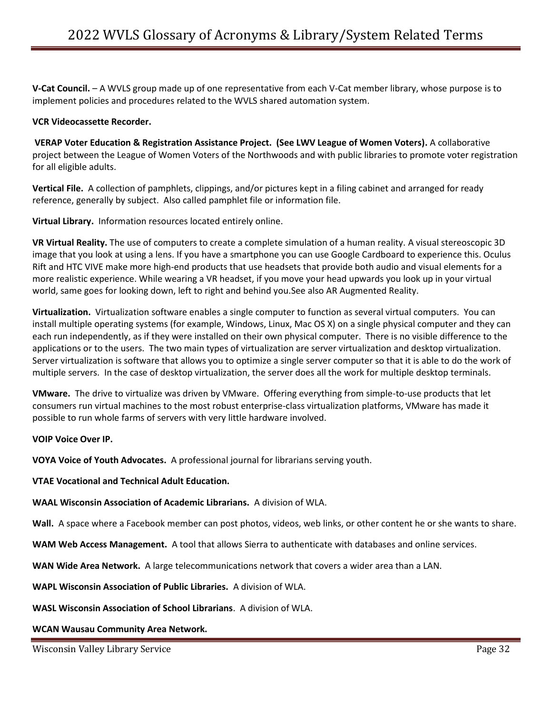**V-Cat Council.** – A WVLS group made up of one representative from each V-Cat member library, whose purpose is to implement policies and procedures related to the WVLS shared automation system.

### **VCR Videocassette Recorder.**

**VERAP Voter Education & Registration Assistance Project. (See LWV League of Women Voters).** A collaborative project between the League of Women Voters of the Northwoods and with public libraries to promote voter registration for all eligible adults.

**Vertical File.** A collection of pamphlets, clippings, and/or pictures kept in a filing cabinet and arranged for ready reference, generally by subject. Also called pamphlet file or information file.

**Virtual Library.** Information resources located entirely online.

**VR Virtual Reality.** The use of computers to create a complete simulation of a human reality. A visual stereoscopic 3D image that you look at using a lens. If you have a smartphone you can use Google Cardboard to experience this. Oculus Rift and HTC VIVE make more high-end products that use headsets that provide both audio and visual elements for a more realistic experience. While wearing a VR headset, if you move your head upwards you look up in your virtual world, same goes for looking down, left to right and behind you.See also AR Augmented Reality.

**Virtualization.** Virtualization software enables a single computer to function as several virtual computers. You can install multiple operating systems (for example, Windows, Linux, Mac OS X) on a single physical computer and they can each run independently, as if they were installed on their own physical computer. There is no visible difference to the applications or to the users. The two main types of virtualization are server virtualization and desktop virtualization. Server virtualization is software that allows you to optimize a single server computer so that it is able to do the work of multiple servers. In the case of desktop virtualization, the server does all the work for multiple desktop terminals.

**VMware.** The drive to virtualize was driven by VMware. Offering everything from simple-to-use products that let consumers run virtual machines to the most robust enterprise-class virtualization platforms, VMware has made it possible to run whole farms of servers with very little hardware involved.

#### **VOIP Voice Over IP.**

**VOYA Voice of Youth Advocates.** A professional journal for librarians serving youth.

**VTAE Vocational and Technical Adult Education.** 

**WAAL Wisconsin Association of Academic Librarians.** A division of WLA.

**Wall.** A space where a Facebook member can post photos, videos, web links, or other content he or she wants to share.

**WAM Web Access Management.** A tool that allows Sierra to authenticate with databases and online services.

**WAN Wide Area Network.** A large telecommunications network that covers a wider area than a LAN.

**WAPL Wisconsin Association of Public Libraries.** A division of WLA.

**WASL Wisconsin Association of School Librarians**. A division of WLA.

**WCAN Wausau Community Area Network.**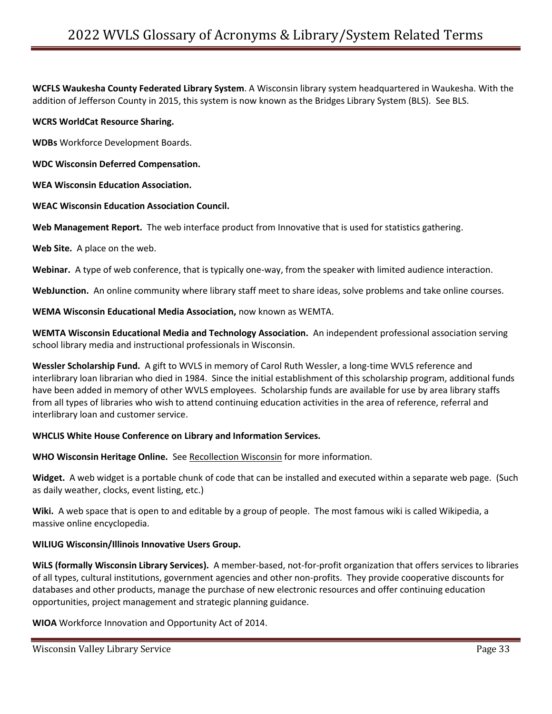**WCFLS Waukesha County Federated Library System**. A Wisconsin library system headquartered in Waukesha. With the addition of Jefferson County in 2015, this system is now known as the Bridges Library System (BLS). See BLS.

### **WCRS WorldCat Resource Sharing.**

**WDBs** Workforce Development Boards.

**WDC Wisconsin Deferred Compensation.** 

**WEA Wisconsin Education Association.** 

#### **WEAC Wisconsin Education Association Council.**

Web Management Report. The web interface product from Innovative that is used for statistics gathering.

**Web Site.** A place on the web.

**Webinar.** A type of web conference, that is typically one-way, from the speaker with limited audience interaction.

**WebJunction.** An online community where library staff meet to share ideas, solve problems and take online courses.

**WEMA Wisconsin Educational Media Association,** now known as WEMTA.

**WEMTA Wisconsin Educational Media and Technology Association.** An independent professional association serving school library media and instructional professionals in Wisconsin.

**Wessler Scholarship Fund.** A gift to WVLS in memory of Carol Ruth Wessler, a long-time WVLS reference and interlibrary loan librarian who died in 1984. Since the initial establishment of this scholarship program, additional funds have been added in memory of other WVLS employees. Scholarship funds are available for use by area library staffs from all types of libraries who wish to attend continuing education activities in the area of reference, referral and interlibrary loan and customer service.

#### **WHCLIS White House Conference on Library and Information Services.**

**WHO Wisconsin Heritage Online.** See Recollection Wisconsin for more information.

**Widget.** A web widget is a portable chunk of code that can be installed and executed within a separate web page. (Such as daily weather, clocks, event listing, etc.)

**Wiki.** A web space that is open to and editable by a group of people. The most famous wiki is called Wikipedia, a massive online encyclopedia.

#### **WILIUG Wisconsin/Illinois Innovative Users Group.**

**WiLS (formally Wisconsin Library Services).** A member-based, not-for-profit organization that offers services to libraries of all types, cultural institutions, government agencies and other non-profits. They provide cooperative discounts for databases and other products, manage the purchase of new electronic resources and offer continuing education opportunities, project management and strategic planning guidance.

**WIOA** Workforce Innovation and Opportunity Act of 2014.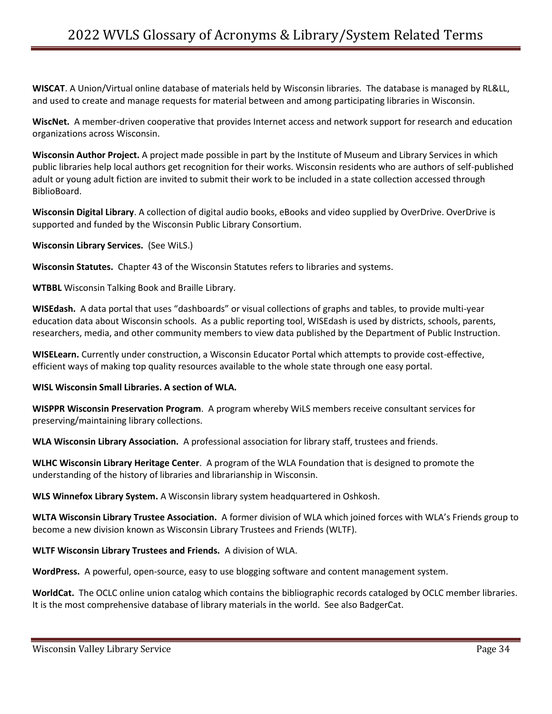**WISCAT**. A Union/Virtual online database of materials held by Wisconsin libraries. The database is managed by RL&LL, and used to create and manage requests for material between and among participating libraries in Wisconsin.

**WiscNet.** A member-driven cooperative that provides Internet access and network support for research and education organizations across Wisconsin.

**Wisconsin Author Project.** A project made possible in part by the Institute of Museum and Library Services in which public libraries help local authors get recognition for their works. Wisconsin residents who are authors of self-published adult or young adult fiction are invited to submit their work to be included in a state collection accessed through BiblioBoard.

**Wisconsin Digital Library**. A collection of digital audio books, eBooks and video supplied by OverDrive. OverDrive is supported and funded by the Wisconsin Public Library Consortium.

**Wisconsin Library Services.** (See WiLS.)

**Wisconsin Statutes.** Chapter 43 of the Wisconsin Statutes refers to libraries and systems.

**WTBBL** Wisconsin Talking Book and Braille Library.

**WISEdash.** A data portal that uses "dashboards" or visual collections of graphs and tables, to provide multi-year education data about Wisconsin schools. As a public reporting tool, WISEdash is used by districts, schools, parents, researchers, media, and other community members to view data published by the Department of Public Instruction.

**WISELearn.** Currently under construction, a Wisconsin Educator Portal which attempts to provide cost-effective, efficient ways of making top quality resources available to the whole state through one easy portal.

**WISL Wisconsin Small Libraries. A section of WLA.**

**WISPPR Wisconsin Preservation Program**. A program whereby WiLS members receive consultant services for preserving/maintaining library collections.

**WLA Wisconsin Library Association.** A professional association for library staff, trustees and friends.

**WLHC Wisconsin Library Heritage Center**. A program of the WLA Foundation that is designed to promote the understanding of the history of libraries and librarianship in Wisconsin.

**WLS Winnefox Library System.** A Wisconsin library system headquartered in Oshkosh.

**WLTA Wisconsin Library Trustee Association.** A former division of WLA which joined forces with WLA's Friends group to become a new division known as Wisconsin Library Trustees and Friends (WLTF).

**WLTF Wisconsin Library Trustees and Friends.** A division of WLA.

**WordPress.** A powerful, open-source, easy to use blogging software and content management system.

**WorldCat.** The OCLC online union catalog which contains the bibliographic records cataloged by OCLC member libraries. It is the most comprehensive database of library materials in the world. See also BadgerCat.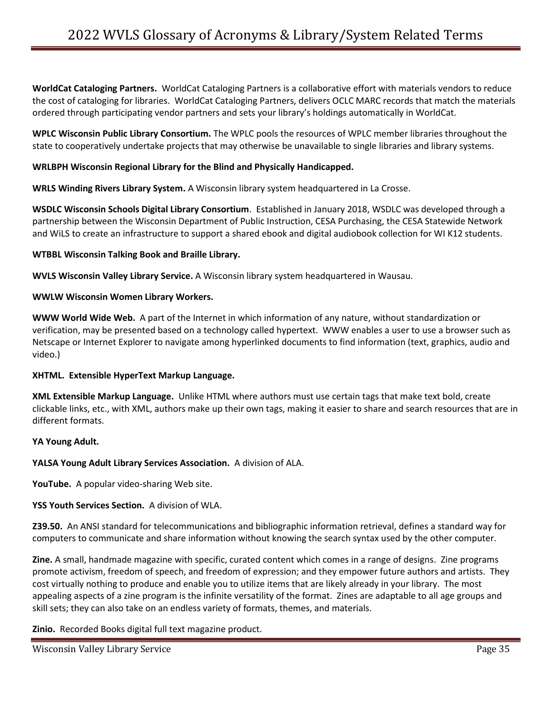**WorldCat Cataloging Partners.** WorldCat Cataloging Partners is a collaborative effort with materials vendors to reduce the cost of cataloging for libraries. WorldCat Cataloging Partners, delivers OCLC MARC records that match the materials ordered through participating vendor partners and sets your library's holdings automatically in WorldCat.

**WPLC Wisconsin Public Library Consortium.** The WPLC pools the resources of WPLC member libraries throughout the state to cooperatively undertake projects that may otherwise be unavailable to single libraries and library systems.

## **WRLBPH Wisconsin Regional Library for the Blind and Physically Handicapped.**

**WRLS Winding Rivers Library System.** A Wisconsin library system headquartered in La Crosse.

**WSDLC Wisconsin Schools Digital Library Consortium**. Established in January 2018, WSDLC was developed through a partnership between the Wisconsin Department of Public Instruction, CESA Purchasing, the CESA Statewide Network and WiLS to create an infrastructure to support a shared ebook and digital audiobook collection for WI K12 students.

#### **WTBBL Wisconsin Talking Book and Braille Library.**

**WVLS Wisconsin Valley Library Service.** A Wisconsin library system headquartered in Wausau.

#### **WWLW Wisconsin Women Library Workers.**

**WWW World Wide Web.** A part of the Internet in which information of any nature, without standardization or verification, may be presented based on a technology called hypertext. WWW enables a user to use a browser such as Netscape or Internet Explorer to navigate among hyperlinked documents to find information (text, graphics, audio and video.)

#### **XHTML. Extensible HyperText Markup Language.**

**XML Extensible Markup Language.** Unlike HTML where authors must use certain tags that make text bold, create clickable links, etc., with XML, authors make up their own tags, making it easier to share and search resources that are in different formats.

#### **YA Young Adult.**

#### **YALSA Young Adult Library Services Association.** A division of ALA.

**YouTube.** A popular video-sharing Web site.

#### **YSS Youth Services Section.** A division of WLA.

**Z39.50.** An ANSI standard for telecommunications and bibliographic information retrieval, defines a standard way for computers to communicate and share information without knowing the search syntax used by the other computer.

**Zine.** A small, handmade magazine with specific, curated content which comes in a range of designs. Zine programs promote activism, freedom of speech, and freedom of expression; and they empower future authors and artists. They cost virtually nothing to produce and enable you to utilize items that are likely already in your library. The most appealing aspects of a zine program is the infinite versatility of the format. Zines are adaptable to all age groups and skill sets; they can also take on an endless variety of formats, themes, and materials.

**Zinio.** Recorded Books digital full text magazine product.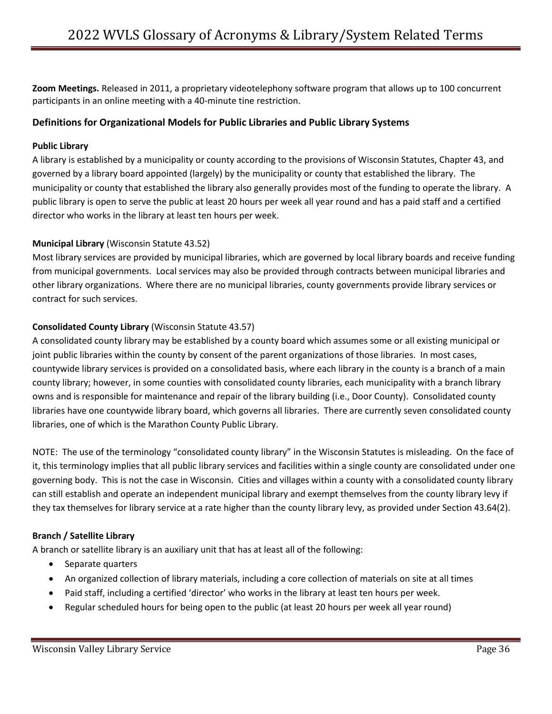**Zoom Meetings.** Released in 2011, a proprietary videotelephony software program that allows up to 100 concurrent participants in an online meeting with a 40-minute tine restriction.

# **Definitions for Organizational Models for Public Libraries and Public Library Systems**

# **Public Library**

A library is established by a municipality or county according to the provisions of Wisconsin Statutes, Chapter 43, and governed by a library board appointed (largely) by the municipality or county that established the library. The municipality or county that established the library also generally provides most of the funding to operate the library. A public library is open to serve the public at least 20 hours per week all year round and has a paid staff and a certified director who works in the library at least ten hours per week.

# **Municipal Library** (Wisconsin Statute 43.52)

Most library services are provided by municipal libraries, which are governed by local library boards and receive funding from municipal governments. Local services may also be provided through contracts between municipal libraries and other library organizations. Where there are no municipal libraries, county governments provide library services or contract for such services.

# **Consolidated County Library** (Wisconsin Statute 43.57)

A consolidated county library may be established by a county board which assumes some or all existing municipal or joint public libraries within the county by consent of the parent organizations of those libraries. In most cases, countywide library services is provided on a consolidated basis, where each library in the county is a branch of a main county library; however, in some counties with consolidated county libraries, each municipality with a branch library owns and is responsible for maintenance and repair of the library building (i.e., Door County). Consolidated county libraries have one countywide library board, which governs all libraries. There are currently seven consolidated county libraries, one of which is the Marathon County Public Library.

NOTE: The use of the terminology "consolidated county library" in the Wisconsin Statutes is misleading. On the face of it, this terminology implies that all public library services and facilities within a single county are consolidated under one governing body. This is not the case in Wisconsin. Cities and villages within a county with a consolidated county library can still establish and operate an independent municipal library and exempt themselves from the county library levy if they tax themselves for library service at a rate higher than the county library levy, as provided under Section 43.64(2).

# **Branch / Satellite Library**

A branch or satellite library is an auxiliary unit that has at least all of the following:

- Separate quarters
- An organized collection of library materials, including a core collection of materials on site at all times
- Paid staff, including a certified 'director' who works in the library at least ten hours per week.
- Regular scheduled hours for being open to the public (at least 20 hours per week all year round)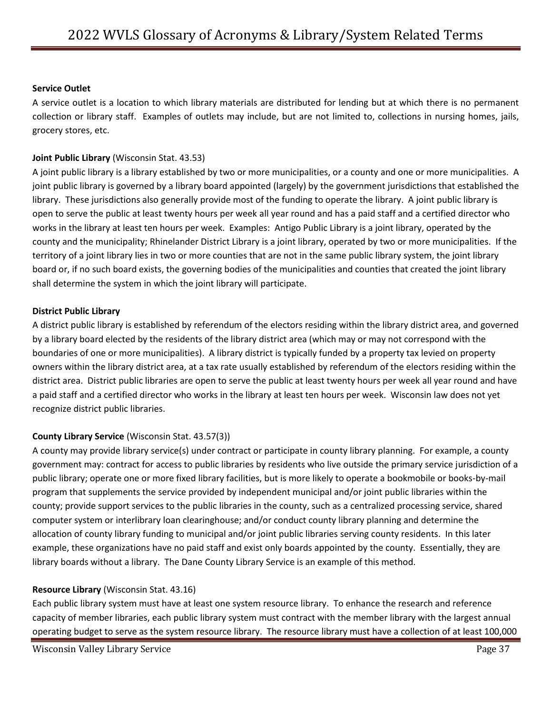## **Service Outlet**

A service outlet is a location to which library materials are distributed for lending but at which there is no permanent collection or library staff. Examples of outlets may include, but are not limited to, collections in nursing homes, jails, grocery stores, etc.

## **Joint Public Library** (Wisconsin Stat. 43.53)

A joint public library is a library established by two or more municipalities, or a county and one or more municipalities. A joint public library is governed by a library board appointed (largely) by the government jurisdictions that established the library. These jurisdictions also generally provide most of the funding to operate the library. A joint public library is open to serve the public at least twenty hours per week all year round and has a paid staff and a certified director who works in the library at least ten hours per week. Examples: Antigo Public Library is a joint library, operated by the county and the municipality; Rhinelander District Library is a joint library, operated by two or more municipalities. If the territory of a joint library lies in two or more counties that are not in the same public library system, the joint library board or, if no such board exists, the governing bodies of the municipalities and counties that created the joint library shall determine the system in which the joint library will participate.

#### **District Public Library**

A district public library is established by referendum of the electors residing within the library district area, and governed by a library board elected by the residents of the library district area (which may or may not correspond with the boundaries of one or more municipalities). A library district is typically funded by a property tax levied on property owners within the library district area, at a tax rate usually established by referendum of the electors residing within the district area. District public libraries are open to serve the public at least twenty hours per week all year round and have a paid staff and a certified director who works in the library at least ten hours per week. Wisconsin law does not yet recognize district public libraries.

#### **County Library Service** (Wisconsin Stat. 43.57(3))

A county may provide library service(s) under contract or participate in county library planning. For example, a county government may: contract for access to public libraries by residents who live outside the primary service jurisdiction of a public library; operate one or more fixed library facilities, but is more likely to operate a bookmobile or books-by-mail program that supplements the service provided by independent municipal and/or joint public libraries within the county; provide support services to the public libraries in the county, such as a centralized processing service, shared computer system or interlibrary loan clearinghouse; and/or conduct county library planning and determine the allocation of county library funding to municipal and/or joint public libraries serving county residents. In this later example, these organizations have no paid staff and exist only boards appointed by the county. Essentially, they are library boards without a library. The Dane County Library Service is an example of this method.

#### **Resource Library** (Wisconsin Stat. 43.16)

Each public library system must have at least one system resource library. To enhance the research and reference capacity of member libraries, each public library system must contract with the member library with the largest annual operating budget to serve as the system resource library. The resource library must have a collection of at least 100,000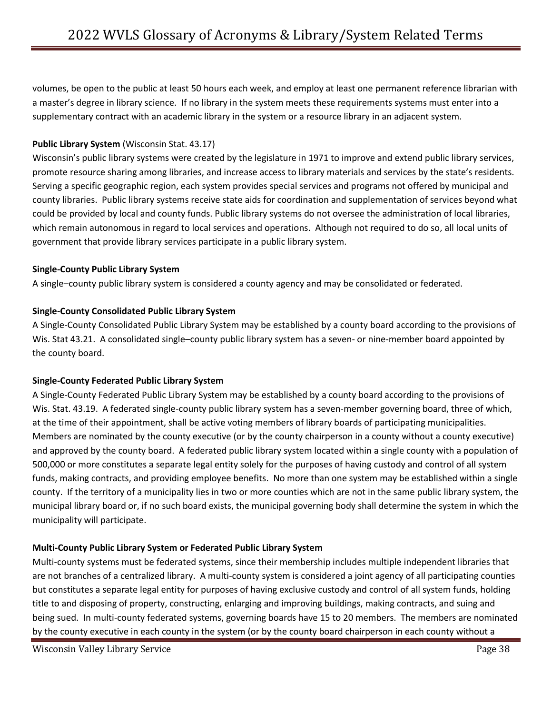volumes, be open to the public at least 50 hours each week, and employ at least one permanent reference librarian with a master's degree in library science. If no library in the system meets these requirements systems must enter into a supplementary contract with an academic library in the system or a resource library in an adjacent system.

# **Public Library System** (Wisconsin Stat. 43.17)

Wisconsin's public library systems were created by the legislature in 1971 to improve and extend public library services, promote resource sharing among libraries, and increase access to library materials and services by the state's residents. Serving a specific geographic region, each system provides special services and programs not offered by municipal and county libraries. Public library systems receive state aids for coordination and supplementation of services beyond what could be provided by local and county funds. Public library systems do not oversee the administration of local libraries, which remain autonomous in regard to local services and operations. Although not required to do so, all local units of government that provide library services participate in a public library system.

# **Single-County Public Library System**

A single–county public library system is considered a county agency and may be consolidated or federated.

# **Single-County Consolidated Public Library System**

A Single-County Consolidated Public Library System may be established by a county board according to the provisions of Wis. Stat 43.21. A consolidated single–county public library system has a seven- or nine-member board appointed by the county board.

# **Single-County Federated Public Library System**

A Single-County Federated Public Library System may be established by a county board according to the provisions of Wis. Stat. 43.19. A federated single-county public library system has a seven-member governing board, three of which, at the time of their appointment, shall be active voting members of library boards of participating municipalities. Members are nominated by the county executive (or by the county chairperson in a county without a county executive) and approved by the county board. A federated public library system located within a single county with a population of 500,000 or more constitutes a separate legal entity solely for the purposes of having custody and control of all system funds, making contracts, and providing employee benefits. No more than one system may be established within a single county. If the territory of a municipality lies in two or more counties which are not in the same public library system, the municipal library board or, if no such board exists, the municipal governing body shall determine the system in which the municipality will participate.

# **Multi-County Public Library System or Federated Public Library System**

Multi-county systems must be federated systems, since their membership includes multiple independent libraries that are not branches of a centralized library. A multi-county system is considered a joint agency of all participating counties but constitutes a separate legal entity for purposes of having exclusive custody and control of all system funds, holding title to and disposing of property, constructing, enlarging and improving buildings, making contracts, and suing and being sued. In multi-county federated systems, governing boards have 15 to 20 members. The members are nominated by the county executive in each county in the system (or by the county board chairperson in each county without a